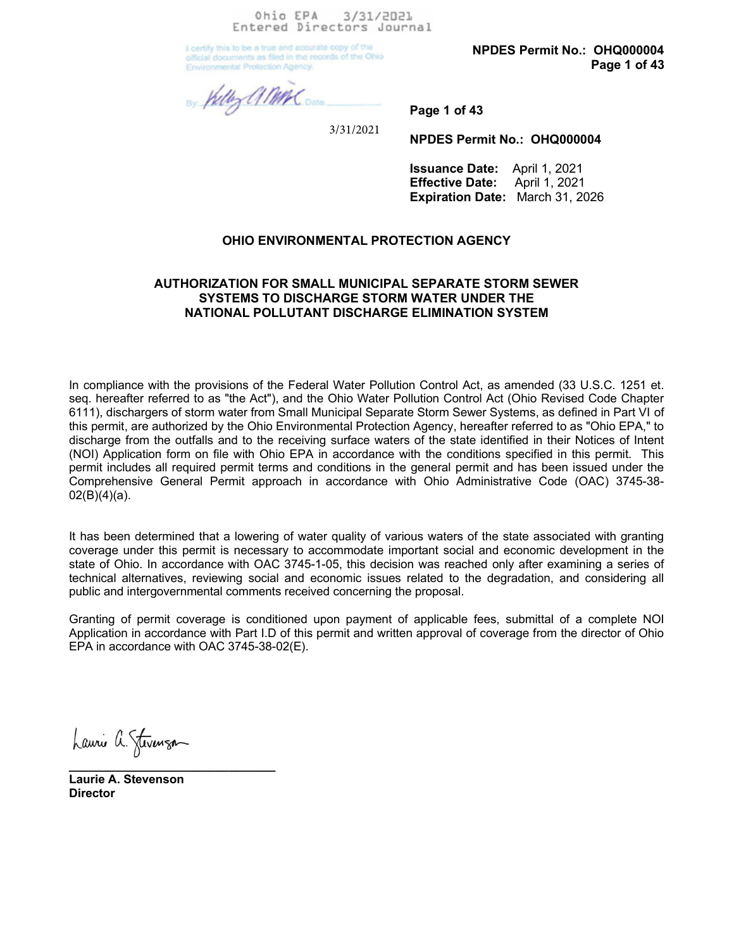Ohio EPA 3/31/2021 Entered Directors Journal

I certify this to be a true and accurate copy of the official documents as filed in the records of the Ohio **Environmental Protection Agency.** 

NPDES Permit No.: OHQ000004 Page 1 of 43

By Willy all MAC Dara.

3/31/2021

NPDES Permit No.: OHQ000004

Page 1 of 43

Issuance Date: April 1, 2021 Effective Date: April 1, 2021 Expiration Date: March 31, 2026

# OHIO ENVIRONMENTAL PROTECTION AGENCY

# AUTHORIZATION FOR SMALL MUNICIPAL SEPARATE STORM SEWER SYSTEMS TO DISCHARGE STORM WATER UNDER THE NATIONAL POLLUTANT DISCHARGE ELIMINATION SYSTEM

In compliance with the provisions of the Federal Water Pollution Control Act, as amended (33 U.S.C. 1251 et. seq. hereafter referred to as "the Act"), and the Ohio Water Pollution Control Act (Ohio Revised Code Chapter 6111), dischargers of storm water from Small Municipal Separate Storm Sewer Systems, as defined in Part VI of this permit, are authorized by the Ohio Environmental Protection Agency, hereafter referred to as "Ohio EPA," to discharge from the outfalls and to the receiving surface waters of the state identified in their Notices of Intent (NOI) Application form on file with Ohio EPA in accordance with the conditions specified in this permit. This permit includes all required permit terms and conditions in the general permit and has been issued under the Comprehensive General Permit approach in accordance with Ohio Administrative Code (OAC) 3745-38-  $02(B)(4)(a)$ .

It has been determined that a lowering of water quality of various waters of the state associated with granting coverage under this permit is necessary to accommodate important social and economic development in the state of Ohio. In accordance with OAC 3745-1-05, this decision was reached only after examining a series of technical alternatives, reviewing social and economic issues related to the degradation, and considering all public and intergovernmental comments received concerning the proposal.

Granting of permit coverage is conditioned upon payment of applicable fees, submittal of a complete NOI Application in accordance with Part I.D of this permit and written approval of coverage from the director of Ohio EPA in accordance with OAC 3745-38-02(E).

Laurie a. Stevenson \_\_\_\_\_\_\_\_\_\_\_\_\_\_\_\_\_\_\_\_\_\_\_\_\_\_\_\_\_\_\_

Laurie A. Stevenson **Director**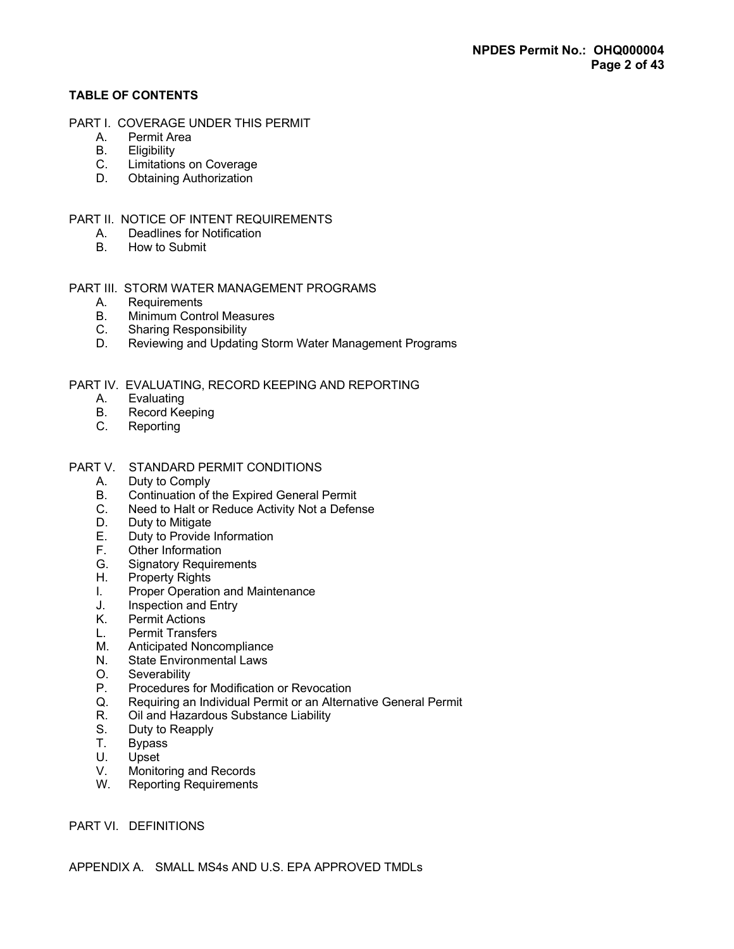# TABLE OF CONTENTS

- PART I. COVERAGE UNDER THIS PERMIT
	- A. Permit Area
	- B. Eligibility<br>C. Limitation
	- C. Limitations on Coverage<br>D. Obtaining Authorization
	- **Obtaining Authorization**

# PART II. NOTICE OF INTENT REQUIREMENTS

- A. Deadlines for Notification
- B. How to Submit

# PART III. STORM WATER MANAGEMENT PROGRAMS

- A. Requirements<br>B. Minimum Cont
- B. Minimum Control Measures<br>C. Sharing Responsibility
- C. Sharing Responsibility<br>D. Reviewing and Updatin
- Reviewing and Updating Storm Water Management Programs

# PART IV. EVALUATING, RECORD KEEPING AND REPORTING

- A. Evaluating
- B. Record Keeping
- C. Reporting

# PART V. STANDARD PERMIT CONDITIONS

- A. Duty to Comply
- B. Continuation of the Expired General Permit
- C. Need to Halt or Reduce Activity Not a Defense
- D. Duty to Mitigate
- E. Duty to Provide Information
- F. Other Information
- G. Signatory Requirements
- H. Property Rights
- I. Proper Operation and Maintenance
- J. Inspection and Entry
- K. Permit Actions
- L. Permit Transfers<br>M. Anticipated Nonc
- Anticipated Noncompliance
- N. State Environmental Laws
- O. Severability<br>P. Procedures
- Procedures for Modification or Revocation
- Q. Requiring an Individual Permit or an Alternative General Permit
- R. Oil and Hazardous Substance Liability
- S. Duty to Reapply
- T. Bypass
- U. Upset<br>V. Monito
- Monitoring and Records
- W. Reporting Requirements

# PART VI. DEFINITIONS

APPENDIX A. SMALL MS4s AND U.S. EPA APPROVED TMDLs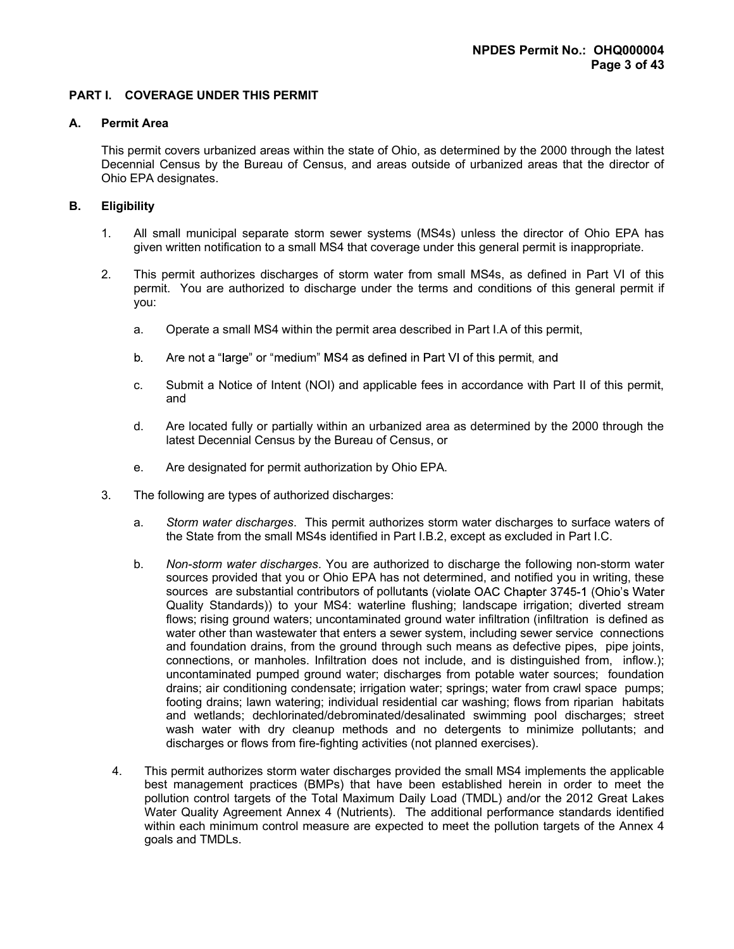# PART I. COVERAGE UNDER THIS PERMIT

## A. Permit Area

 This permit covers urbanized areas within the state of Ohio, as determined by the 2000 through the latest Decennial Census by the Bureau of Census, and areas outside of urbanized areas that the director of Ohio EPA designates.

## B. Eligibility

- 1. All small municipal separate storm sewer systems (MS4s) unless the director of Ohio EPA has given written notification to a small MS4 that coverage under this general permit is inappropriate.
- 2. This permit authorizes discharges of storm water from small MS4s, as defined in Part VI of this permit. You are authorized to discharge under the terms and conditions of this general permit if you:
	- a. Operate a small MS4 within the permit area described in Part I.A of this permit,
	- b. Are not a "large" or "medium" MS4 as defined in Part VI of this permit, and
	- c. Submit a Notice of Intent (NOI) and applicable fees in accordance with Part II of this permit, and
	- d. Are located fully or partially within an urbanized area as determined by the 2000 through the latest Decennial Census by the Bureau of Census, or
	- e. Are designated for permit authorization by Ohio EPA.
- 3. The following are types of authorized discharges:
	- a. Storm water discharges. This permit authorizes storm water discharges to surface waters of the State from the small MS4s identified in Part I.B.2, except as excluded in Part I.C.
	- b. Non-storm water discharges. You are authorized to discharge the following non-storm water sources provided that you or Ohio EPA has not determined, and notified you in writing, these sources are substantial contributors of pollutants (violate OAC Chapter 3745-1 (Ohio's Water Quality Standards)) to your MS4: waterline flushing; landscape irrigation; diverted stream flows; rising ground waters; uncontaminated ground water infiltration (infiltration is defined as water other than wastewater that enters a sewer system, including sewer service connections and foundation drains, from the ground through such means as defective pipes, pipe joints, connections, or manholes. Infiltration does not include, and is distinguished from, inflow.); uncontaminated pumped ground water; discharges from potable water sources; foundation drains; air conditioning condensate; irrigation water; springs; water from crawl space pumps; footing drains; lawn watering; individual residential car washing; flows from riparian habitats and wetlands; dechlorinated/debrominated/desalinated swimming pool discharges; street wash water with dry cleanup methods and no detergents to minimize pollutants; and discharges or flows from fire-fighting activities (not planned exercises).
	- 4. This permit authorizes storm water discharges provided the small MS4 implements the applicable best management practices (BMPs) that have been established herein in order to meet the pollution control targets of the Total Maximum Daily Load (TMDL) and/or the 2012 Great Lakes Water Quality Agreement Annex 4 (Nutrients). The additional performance standards identified within each minimum control measure are expected to meet the pollution targets of the Annex 4 goals and TMDLs.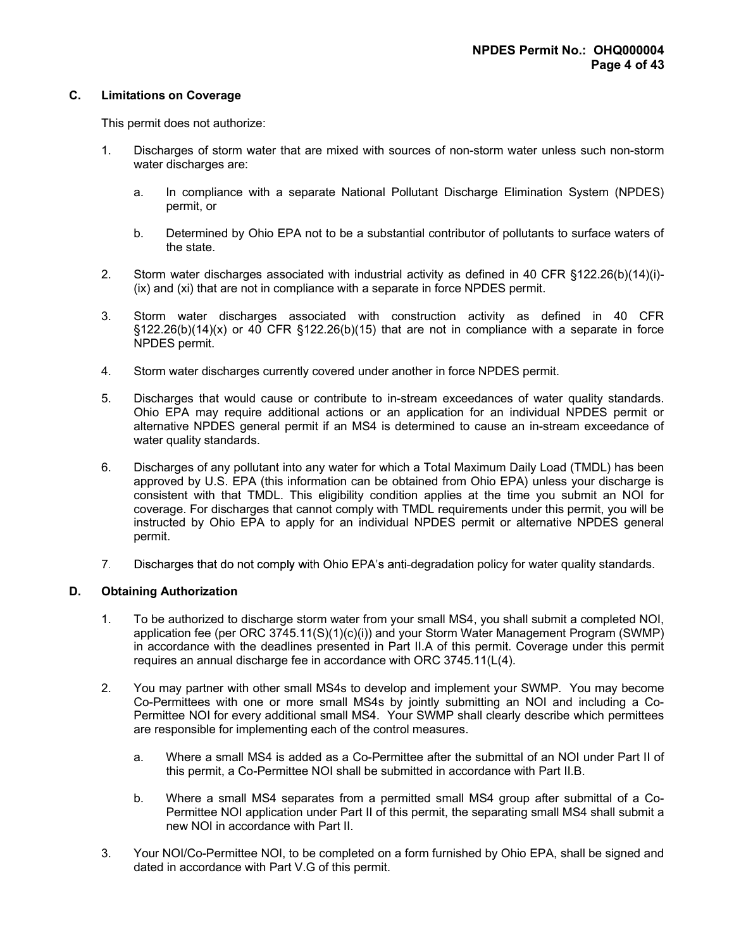# C. Limitations on Coverage

This permit does not authorize:

- 1. Discharges of storm water that are mixed with sources of non-storm water unless such non-storm water discharges are:
	- a. In compliance with a separate National Pollutant Discharge Elimination System (NPDES) permit, or
	- b. Determined by Ohio EPA not to be a substantial contributor of pollutants to surface waters of the state.
- 2. Storm water discharges associated with industrial activity as defined in 40 CFR §122.26(b)(14)(i)- (ix) and (xi) that are not in compliance with a separate in force NPDES permit.
- 3. Storm water discharges associated with construction activity as defined in 40 CFR  $\S122.26(b)(14)(x)$  or 40 CFR  $\S122.26(b)(15)$  that are not in compliance with a separate in force NPDES permit.
- 4. Storm water discharges currently covered under another in force NPDES permit.
- 5. Discharges that would cause or contribute to in-stream exceedances of water quality standards. Ohio EPA may require additional actions or an application for an individual NPDES permit or alternative NPDES general permit if an MS4 is determined to cause an in-stream exceedance of water quality standards.
- 6. Discharges of any pollutant into any water for which a Total Maximum Daily Load (TMDL) has been approved by U.S. EPA (this information can be obtained from Ohio EPA) unless your discharge is consistent with that TMDL. This eligibility condition applies at the time you submit an NOI for coverage. For discharges that cannot comply with TMDL requirements under this permit, you will be instructed by Ohio EPA to apply for an individual NPDES permit or alternative NPDES general permit.
- Discharges that do not comply with Ohio EPA's anti-degradation policy for water quality standards.  $7<sub>1</sub>$

## D. Obtaining Authorization

- 1. To be authorized to discharge storm water from your small MS4, you shall submit a completed NOI, application fee (per ORC 3745.11(S)(1)(c)(i)) and your Storm Water Management Program (SWMP) in accordance with the deadlines presented in Part II.A of this permit. Coverage under this permit requires an annual discharge fee in accordance with ORC 3745.11(L(4).
- 2. You may partner with other small MS4s to develop and implement your SWMP. You may become Co-Permittees with one or more small MS4s by jointly submitting an NOI and including a Co-Permittee NOI for every additional small MS4. Your SWMP shall clearly describe which permittees are responsible for implementing each of the control measures.
	- a. Where a small MS4 is added as a Co-Permittee after the submittal of an NOI under Part II of this permit, a Co-Permittee NOI shall be submitted in accordance with Part II.B.
	- b. Where a small MS4 separates from a permitted small MS4 group after submittal of a Co-Permittee NOI application under Part II of this permit, the separating small MS4 shall submit a new NOI in accordance with Part II.
- 3. Your NOI/Co-Permittee NOI, to be completed on a form furnished by Ohio EPA, shall be signed and dated in accordance with Part V.G of this permit.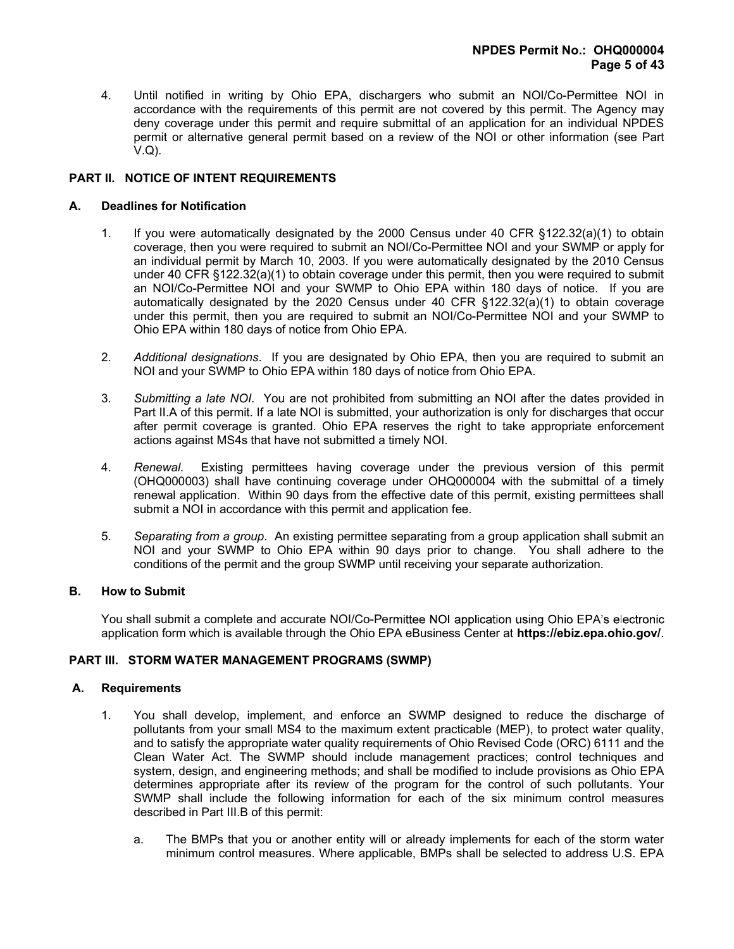4. Until notified in writing by Ohio EPA, dischargers who submit an NOI/Co-Permittee NOI in accordance with the requirements of this permit are not covered by this permit. The Agency may deny coverage under this permit and require submittal of an application for an individual NPDES permit or alternative general permit based on a review of the NOI or other information (see Part V.Q).

# PART II. NOTICE OF INTENT REQUIREMENTS

## A. Deadlines for Notification

- 1. If you were automatically designated by the 2000 Census under 40 CFR §122.32(a)(1) to obtain coverage, then you were required to submit an NOI/Co-Permittee NOI and your SWMP or apply for an individual permit by March 10, 2003. If you were automatically designated by the 2010 Census under 40 CFR §122.32(a)(1) to obtain coverage under this permit, then you were required to submit an NOI/Co-Permittee NOI and your SWMP to Ohio EPA within 180 days of notice. If you are automatically designated by the 2020 Census under 40 CFR §122.32(a)(1) to obtain coverage under this permit, then you are required to submit an NOI/Co-Permittee NOI and your SWMP to Ohio EPA within 180 days of notice from Ohio EPA.
- 2. Additional designations. If you are designated by Ohio EPA, then you are required to submit an NOI and your SWMP to Ohio EPA within 180 days of notice from Ohio EPA.
- 3. Submitting a late NOI. You are not prohibited from submitting an NOI after the dates provided in Part II.A of this permit. If a late NOI is submitted, your authorization is only for discharges that occur after permit coverage is granted. Ohio EPA reserves the right to take appropriate enforcement actions against MS4s that have not submitted a timely NOI.
- 4. Renewal. Existing permittees having coverage under the previous version of this permit (OHQ000003) shall have continuing coverage under OHQ000004 with the submittal of a timely renewal application. Within 90 days from the effective date of this permit, existing permittees shall submit a NOI in accordance with this permit and application fee.
- 5. Separating from a group. An existing permittee separating from a group application shall submit an NOI and your SWMP to Ohio EPA within 90 days prior to change. You shall adhere to the conditions of the permit and the group SWMP until receiving your separate authorization.

## B. How to Submit

You shall submit a complete and accurate NOI/Co-Permittee NOI application using Ohio EPA's electronic application form which is available through the Ohio EPA eBusiness Center at https://ebiz.epa.ohio.gov/.

## PART III. STORM WATER MANAGEMENT PROGRAMS (SWMP)

## A. Requirements

- 1. You shall develop, implement, and enforce an SWMP designed to reduce the discharge of pollutants from your small MS4 to the maximum extent practicable (MEP), to protect water quality, and to satisfy the appropriate water quality requirements of Ohio Revised Code (ORC) 6111 and the Clean Water Act. The SWMP should include management practices; control techniques and system, design, and engineering methods; and shall be modified to include provisions as Ohio EPA determines appropriate after its review of the program for the control of such pollutants. Your SWMP shall include the following information for each of the six minimum control measures described in Part III.B of this permit:
	- a. The BMPs that you or another entity will or already implements for each of the storm water minimum control measures. Where applicable, BMPs shall be selected to address U.S. EPA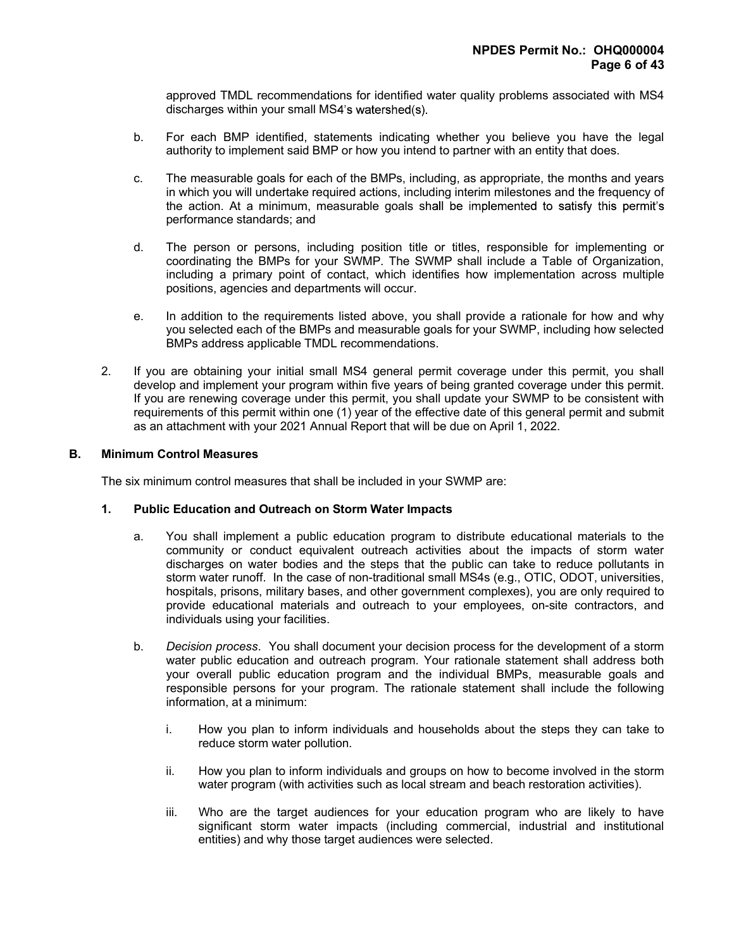approved TMDL recommendations for identified water quality problems associated with MS4 discharges within your small MS4's watershed(s).

- b. For each BMP identified, statements indicating whether you believe you have the legal authority to implement said BMP or how you intend to partner with an entity that does.
- c. The measurable goals for each of the BMPs, including, as appropriate, the months and years in which you will undertake required actions, including interim milestones and the frequency of the action. At a minimum, measurable goals shall be implemented to satisfy this permit's performance standards; and
- d. The person or persons, including position title or titles, responsible for implementing or coordinating the BMPs for your SWMP. The SWMP shall include a Table of Organization, including a primary point of contact, which identifies how implementation across multiple positions, agencies and departments will occur.
- e. In addition to the requirements listed above, you shall provide a rationale for how and why you selected each of the BMPs and measurable goals for your SWMP, including how selected BMPs address applicable TMDL recommendations.
- 2. If you are obtaining your initial small MS4 general permit coverage under this permit, you shall develop and implement your program within five years of being granted coverage under this permit. If you are renewing coverage under this permit, you shall update your SWMP to be consistent with requirements of this permit within one (1) year of the effective date of this general permit and submit as an attachment with your 2021 Annual Report that will be due on April 1, 2022.

# B. Minimum Control Measures

The six minimum control measures that shall be included in your SWMP are:

## 1. Public Education and Outreach on Storm Water Impacts

- a. You shall implement a public education program to distribute educational materials to the community or conduct equivalent outreach activities about the impacts of storm water discharges on water bodies and the steps that the public can take to reduce pollutants in storm water runoff. In the case of non-traditional small MS4s (e.g., OTIC, ODOT, universities, hospitals, prisons, military bases, and other government complexes), you are only required to provide educational materials and outreach to your employees, on-site contractors, and individuals using your facilities.
- b. Decision process. You shall document your decision process for the development of a storm water public education and outreach program. Your rationale statement shall address both your overall public education program and the individual BMPs, measurable goals and responsible persons for your program. The rationale statement shall include the following information, at a minimum:
	- i. How you plan to inform individuals and households about the steps they can take to reduce storm water pollution.
	- ii. How you plan to inform individuals and groups on how to become involved in the storm water program (with activities such as local stream and beach restoration activities).
	- iii. Who are the target audiences for your education program who are likely to have significant storm water impacts (including commercial, industrial and institutional entities) and why those target audiences were selected.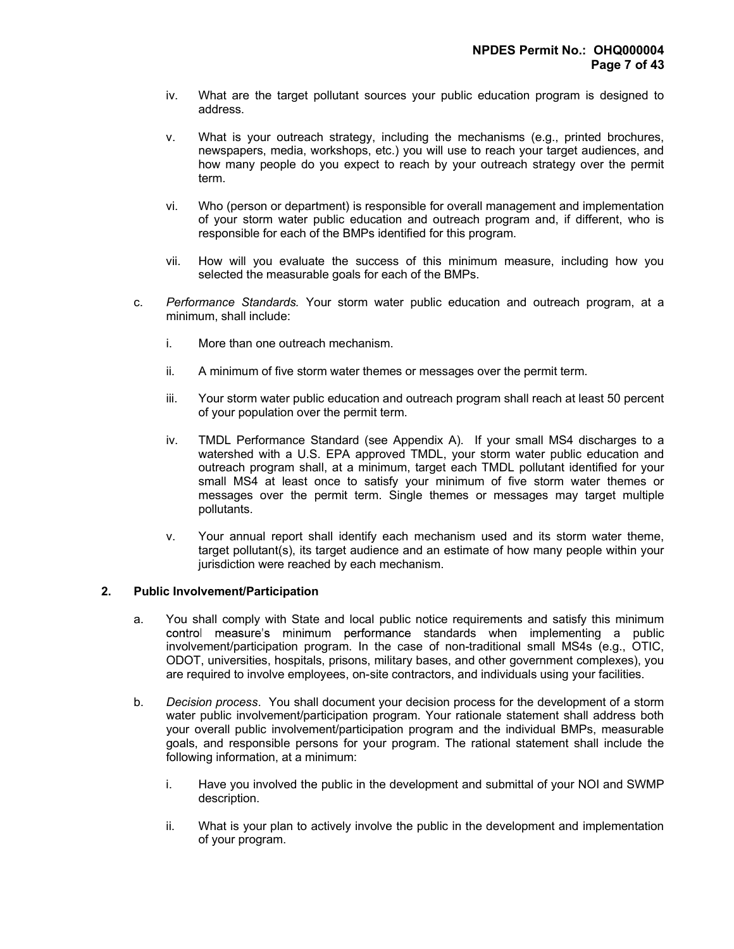- iv. What are the target pollutant sources your public education program is designed to address.
- v. What is your outreach strategy, including the mechanisms (e.g., printed brochures, newspapers, media, workshops, etc.) you will use to reach your target audiences, and how many people do you expect to reach by your outreach strategy over the permit term.
- vi. Who (person or department) is responsible for overall management and implementation of your storm water public education and outreach program and, if different, who is responsible for each of the BMPs identified for this program.
- vii. How will you evaluate the success of this minimum measure, including how you selected the measurable goals for each of the BMPs.
- c. Performance Standards. Your storm water public education and outreach program, at a minimum, shall include:
	- i. More than one outreach mechanism.
	- ii. A minimum of five storm water themes or messages over the permit term.
	- iii. Your storm water public education and outreach program shall reach at least 50 percent of your population over the permit term.
	- iv. TMDL Performance Standard (see Appendix A). If your small MS4 discharges to a watershed with a U.S. EPA approved TMDL, your storm water public education and outreach program shall, at a minimum, target each TMDL pollutant identified for your small MS4 at least once to satisfy your minimum of five storm water themes or messages over the permit term. Single themes or messages may target multiple pollutants.
	- v. Your annual report shall identify each mechanism used and its storm water theme, target pollutant(s), its target audience and an estimate of how many people within your jurisdiction were reached by each mechanism.

#### 2. Public Involvement/Participation

- a. You shall comply with State and local public notice requirements and satisfy this minimum control measure's minimum performance standards when implementing a public involvement/participation program. In the case of non-traditional small MS4s (e.g., OTIC, ODOT, universities, hospitals, prisons, military bases, and other government complexes), you are required to involve employees, on-site contractors, and individuals using your facilities.
- b. Decision process. You shall document your decision process for the development of a storm water public involvement/participation program. Your rationale statement shall address both your overall public involvement/participation program and the individual BMPs, measurable goals, and responsible persons for your program. The rational statement shall include the following information, at a minimum:
	- i. Have you involved the public in the development and submittal of your NOI and SWMP description.
	- ii. What is your plan to actively involve the public in the development and implementation of your program.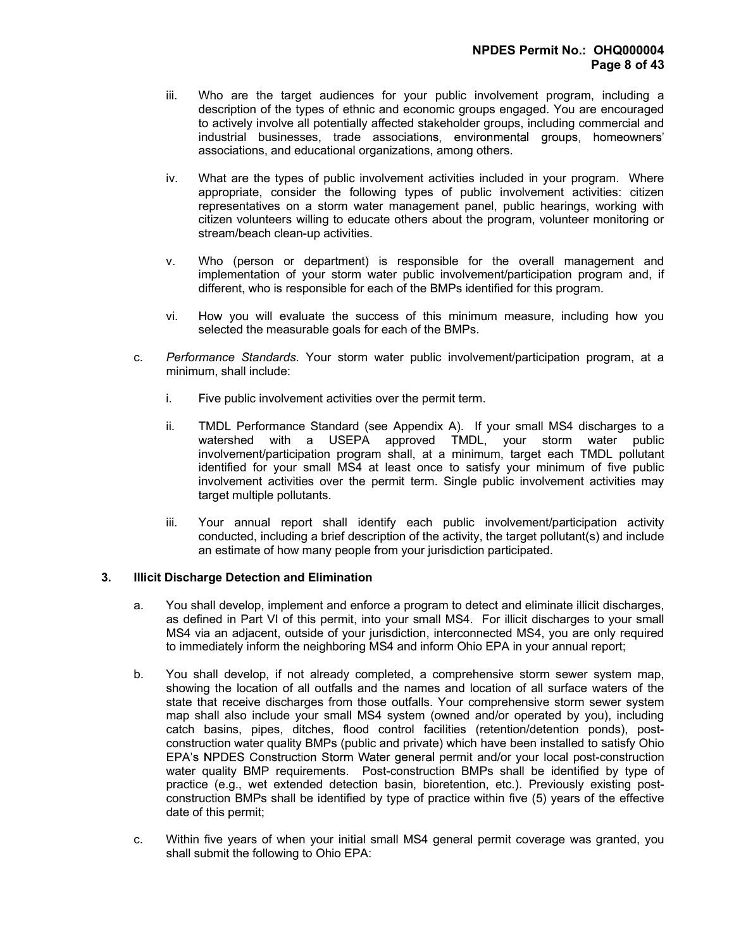- iii. Who are the target audiences for your public involvement program, including a description of the types of ethnic and economic groups engaged. You are encouraged to actively involve all potentially affected stakeholder groups, including commercial and industrial businesses, trade associations, environmental groups, homeowners' associations, and educational organizations, among others.
- iv. What are the types of public involvement activities included in your program. Where appropriate, consider the following types of public involvement activities: citizen representatives on a storm water management panel, public hearings, working with citizen volunteers willing to educate others about the program, volunteer monitoring or stream/beach clean-up activities.
- v. Who (person or department) is responsible for the overall management and implementation of your storm water public involvement/participation program and, if different, who is responsible for each of the BMPs identified for this program.
- vi. How you will evaluate the success of this minimum measure, including how you selected the measurable goals for each of the BMPs.
- c. Performance Standards. Your storm water public involvement/participation program, at a minimum, shall include:
	- i. Five public involvement activities over the permit term.
	- ii. TMDL Performance Standard (see Appendix A). If your small MS4 discharges to a watershed with a USEPA approved TMDL, your storm water public involvement/participation program shall, at a minimum, target each TMDL pollutant identified for your small MS4 at least once to satisfy your minimum of five public involvement activities over the permit term. Single public involvement activities may target multiple pollutants.
	- iii. Your annual report shall identify each public involvement/participation activity conducted, including a brief description of the activity, the target pollutant(s) and include an estimate of how many people from your jurisdiction participated.

## 3. Illicit Discharge Detection and Elimination

- a. You shall develop, implement and enforce a program to detect and eliminate illicit discharges, as defined in Part VI of this permit, into your small MS4. For illicit discharges to your small MS4 via an adjacent, outside of your jurisdiction, interconnected MS4, you are only required to immediately inform the neighboring MS4 and inform Ohio EPA in your annual report;
- b. You shall develop, if not already completed, a comprehensive storm sewer system map, showing the location of all outfalls and the names and location of all surface waters of the state that receive discharges from those outfalls. Your comprehensive storm sewer system map shall also include your small MS4 system (owned and/or operated by you), including catch basins, pipes, ditches, flood control facilities (retention/detention ponds), postconstruction water quality BMPs (public and private) which have been installed to satisfy Ohio EPA's NPDES Construction Storm Water general permit and/or your local post-construction water quality BMP requirements. Post-construction BMPs shall be identified by type of practice (e.g., wet extended detection basin, bioretention, etc.). Previously existing postconstruction BMPs shall be identified by type of practice within five (5) years of the effective date of this permit;
- c. Within five years of when your initial small MS4 general permit coverage was granted, you shall submit the following to Ohio EPA: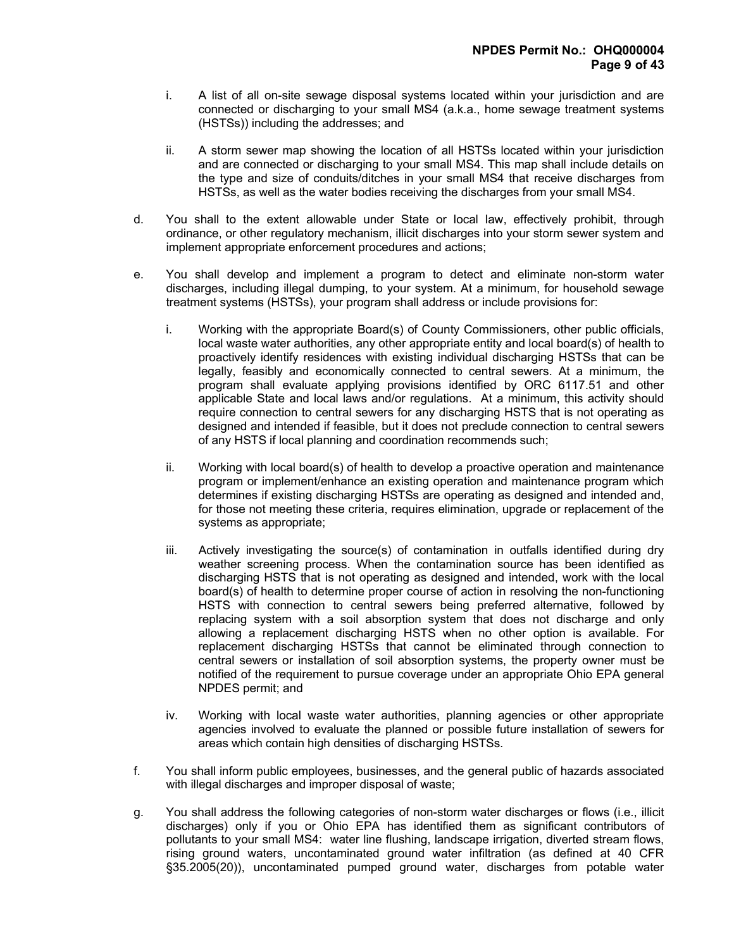- i. A list of all on-site sewage disposal systems located within your jurisdiction and are connected or discharging to your small MS4 (a.k.a., home sewage treatment systems (HSTSs)) including the addresses; and
- ii. A storm sewer map showing the location of all HSTSs located within your jurisdiction and are connected or discharging to your small MS4. This map shall include details on the type and size of conduits/ditches in your small MS4 that receive discharges from HSTSs, as well as the water bodies receiving the discharges from your small MS4.
- d. You shall to the extent allowable under State or local law, effectively prohibit, through ordinance, or other regulatory mechanism, illicit discharges into your storm sewer system and implement appropriate enforcement procedures and actions;
- e. You shall develop and implement a program to detect and eliminate non-storm water discharges, including illegal dumping, to your system. At a minimum, for household sewage treatment systems (HSTSs), your program shall address or include provisions for:
	- i. Working with the appropriate Board(s) of County Commissioners, other public officials, local waste water authorities, any other appropriate entity and local board(s) of health to proactively identify residences with existing individual discharging HSTSs that can be legally, feasibly and economically connected to central sewers. At a minimum, the program shall evaluate applying provisions identified by ORC 6117.51 and other applicable State and local laws and/or regulations. At a minimum, this activity should require connection to central sewers for any discharging HSTS that is not operating as designed and intended if feasible, but it does not preclude connection to central sewers of any HSTS if local planning and coordination recommends such;
	- ii. Working with local board(s) of health to develop a proactive operation and maintenance program or implement/enhance an existing operation and maintenance program which determines if existing discharging HSTSs are operating as designed and intended and, for those not meeting these criteria, requires elimination, upgrade or replacement of the systems as appropriate;
	- iii. Actively investigating the source(s) of contamination in outfalls identified during dry weather screening process. When the contamination source has been identified as discharging HSTS that is not operating as designed and intended, work with the local board(s) of health to determine proper course of action in resolving the non-functioning HSTS with connection to central sewers being preferred alternative, followed by replacing system with a soil absorption system that does not discharge and only allowing a replacement discharging HSTS when no other option is available. For replacement discharging HSTSs that cannot be eliminated through connection to central sewers or installation of soil absorption systems, the property owner must be notified of the requirement to pursue coverage under an appropriate Ohio EPA general NPDES permit; and
	- iv. Working with local waste water authorities, planning agencies or other appropriate agencies involved to evaluate the planned or possible future installation of sewers for areas which contain high densities of discharging HSTSs.
- f. You shall inform public employees, businesses, and the general public of hazards associated with illegal discharges and improper disposal of waste;
- g. You shall address the following categories of non-storm water discharges or flows (i.e., illicit discharges) only if you or Ohio EPA has identified them as significant contributors of pollutants to your small MS4: water line flushing, landscape irrigation, diverted stream flows, rising ground waters, uncontaminated ground water infiltration (as defined at 40 CFR §35.2005(20)), uncontaminated pumped ground water, discharges from potable water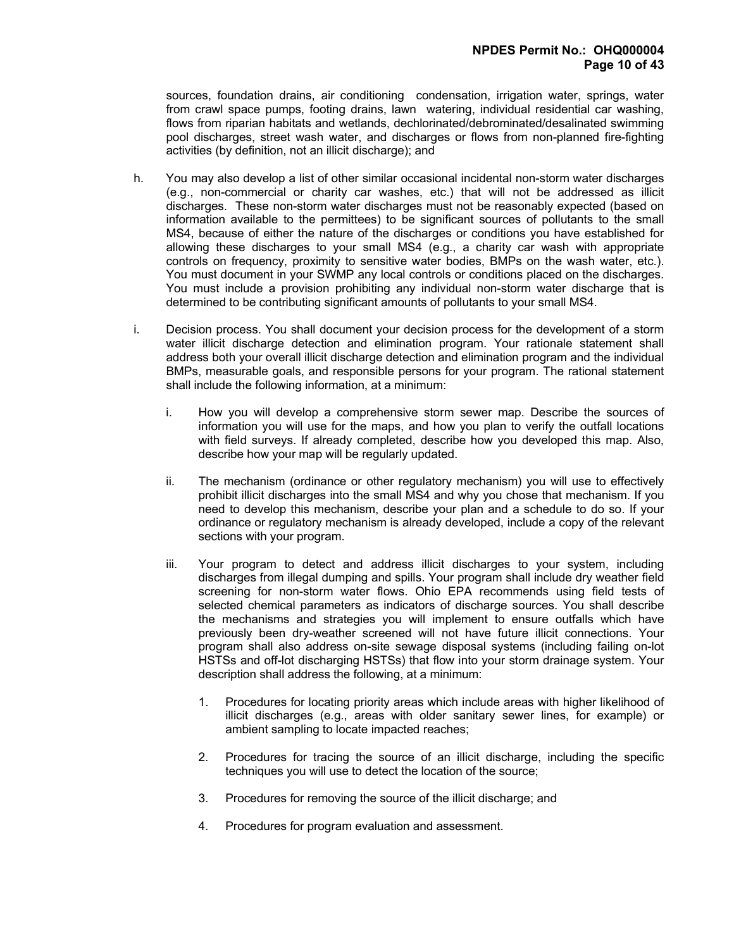sources, foundation drains, air conditioning condensation, irrigation water, springs, water from crawl space pumps, footing drains, lawn watering, individual residential car washing, flows from riparian habitats and wetlands, dechlorinated/debrominated/desalinated swimming pool discharges, street wash water, and discharges or flows from non-planned fire-fighting activities (by definition, not an illicit discharge); and

- h. You may also develop a list of other similar occasional incidental non-storm water discharges (e.g., non-commercial or charity car washes, etc.) that will not be addressed as illicit discharges. These non-storm water discharges must not be reasonably expected (based on information available to the permittees) to be significant sources of pollutants to the small MS4, because of either the nature of the discharges or conditions you have established for allowing these discharges to your small MS4 (e.g., a charity car wash with appropriate controls on frequency, proximity to sensitive water bodies, BMPs on the wash water, etc.). You must document in your SWMP any local controls or conditions placed on the discharges. You must include a provision prohibiting any individual non-storm water discharge that is determined to be contributing significant amounts of pollutants to your small MS4.
- i. Decision process. You shall document your decision process for the development of a storm water illicit discharge detection and elimination program. Your rationale statement shall address both your overall illicit discharge detection and elimination program and the individual BMPs, measurable goals, and responsible persons for your program. The rational statement shall include the following information, at a minimum:
	- i. How you will develop a comprehensive storm sewer map. Describe the sources of information you will use for the maps, and how you plan to verify the outfall locations with field surveys. If already completed, describe how you developed this map. Also, describe how your map will be regularly updated.
	- ii. The mechanism (ordinance or other regulatory mechanism) you will use to effectively prohibit illicit discharges into the small MS4 and why you chose that mechanism. If you need to develop this mechanism, describe your plan and a schedule to do so. If your ordinance or regulatory mechanism is already developed, include a copy of the relevant sections with your program.
	- iii. Your program to detect and address illicit discharges to your system, including discharges from illegal dumping and spills. Your program shall include dry weather field screening for non-storm water flows. Ohio EPA recommends using field tests of selected chemical parameters as indicators of discharge sources. You shall describe the mechanisms and strategies you will implement to ensure outfalls which have previously been dry-weather screened will not have future illicit connections. Your program shall also address on-site sewage disposal systems (including failing on-lot HSTSs and off-lot discharging HSTSs) that flow into your storm drainage system. Your description shall address the following, at a minimum:
		- 1. Procedures for locating priority areas which include areas with higher likelihood of illicit discharges (e.g., areas with older sanitary sewer lines, for example) or ambient sampling to locate impacted reaches;
		- 2. Procedures for tracing the source of an illicit discharge, including the specific techniques you will use to detect the location of the source;
		- 3. Procedures for removing the source of the illicit discharge; and
		- 4. Procedures for program evaluation and assessment.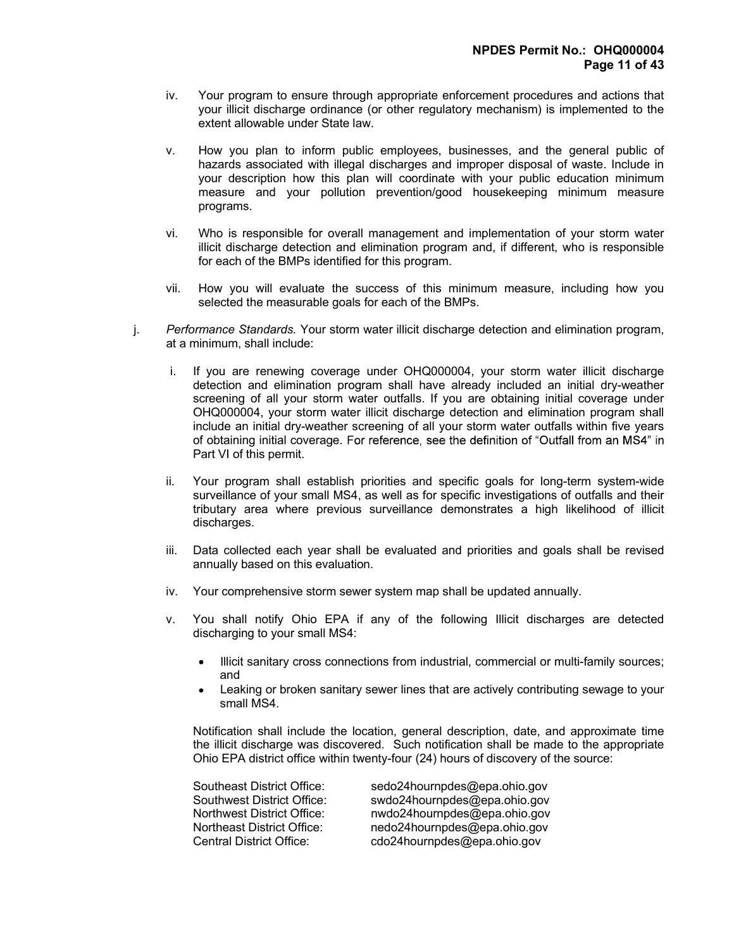- iv. Your program to ensure through appropriate enforcement procedures and actions that your illicit discharge ordinance (or other regulatory mechanism) is implemented to the extent allowable under State law.
- v. How you plan to inform public employees, businesses, and the general public of hazards associated with illegal discharges and improper disposal of waste. Include in your description how this plan will coordinate with your public education minimum measure and your pollution prevention/good housekeeping minimum measure programs.
- vi. Who is responsible for overall management and implementation of your storm water illicit discharge detection and elimination program and, if different, who is responsible for each of the BMPs identified for this program.
- vii. How you will evaluate the success of this minimum measure, including how you selected the measurable goals for each of the BMPs.
- j. Performance Standards. Your storm water illicit discharge detection and elimination program, at a minimum, shall include:
	- i. If you are renewing coverage under OHQ000004, your storm water illicit discharge detection and elimination program shall have already included an initial dry-weather screening of all your storm water outfalls. If you are obtaining initial coverage under OHQ000004, your storm water illicit discharge detection and elimination program shall include an initial dry-weather screening of all your storm water outfalls within five years of obtaining initial coverage. For reference, see the definition of "Outfall from an MS4" in Part VI of this permit.
	- ii. Your program shall establish priorities and specific goals for long-term system-wide surveillance of your small MS4, as well as for specific investigations of outfalls and their tributary area where previous surveillance demonstrates a high likelihood of illicit discharges.
	- iii. Data collected each year shall be evaluated and priorities and goals shall be revised annually based on this evaluation.
	- iv. Your comprehensive storm sewer system map shall be updated annually.
	- v. You shall notify Ohio EPA if any of the following Illicit discharges are detected discharging to your small MS4:
		- Illicit sanitary cross connections from industrial, commercial or multi-family sources; and
		- Leaking or broken sanitary sewer lines that are actively contributing sewage to your small MS4.

Notification shall include the location, general description, date, and approximate time the illicit discharge was discovered. Such notification shall be made to the appropriate Ohio EPA district office within twenty-four (24) hours of discovery of the source:

| Southeast District Office:      | sedo24hournpdes@epa.ohio.gov |
|---------------------------------|------------------------------|
| Southwest District Office:      | swdo24hournpdes@epa.ohio.gov |
| Northwest District Office:      | nwdo24hournpdes@epa.ohio.gov |
| Northeast District Office:      | nedo24hournpdes@epa.ohio.gov |
| <b>Central District Office:</b> | cdo24hournpdes@epa.ohio.gov  |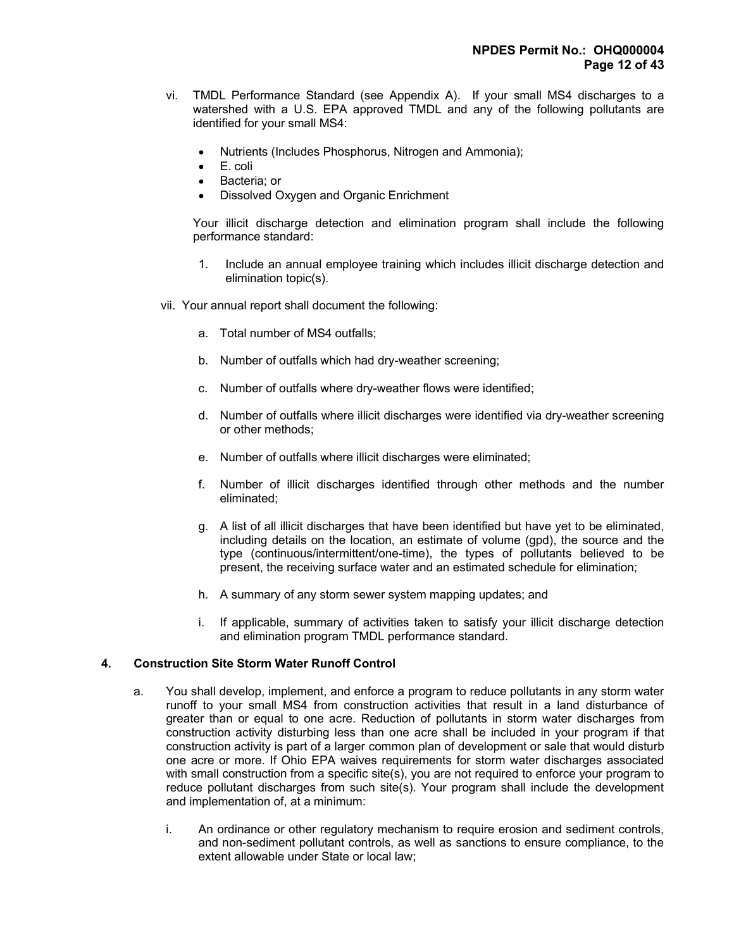- vi. TMDL Performance Standard (see Appendix A). If your small MS4 discharges to a watershed with a U.S. EPA approved TMDL and any of the following pollutants are identified for your small MS4:
	- Nutrients (Includes Phosphorus, Nitrogen and Ammonia);
	- E. coli
	- Bacteria; or
	- Dissolved Oxygen and Organic Enrichment

 Your illicit discharge detection and elimination program shall include the following performance standard:

- 1. Include an annual employee training which includes illicit discharge detection and elimination topic(s).
- vii. Your annual report shall document the following:
	- a. Total number of MS4 outfalls;
	- b. Number of outfalls which had dry-weather screening;
	- c. Number of outfalls where dry-weather flows were identified;
	- d. Number of outfalls where illicit discharges were identified via dry-weather screening or other methods;
	- e. Number of outfalls where illicit discharges were eliminated;
	- f. Number of illicit discharges identified through other methods and the number eliminated;
	- g. A list of all illicit discharges that have been identified but have yet to be eliminated, including details on the location, an estimate of volume (gpd), the source and the type (continuous/intermittent/one-time), the types of pollutants believed to be present, the receiving surface water and an estimated schedule for elimination;
	- h. A summary of any storm sewer system mapping updates; and
	- i. If applicable, summary of activities taken to satisfy your illicit discharge detection and elimination program TMDL performance standard.

# 4. Construction Site Storm Water Runoff Control

- a. You shall develop, implement, and enforce a program to reduce pollutants in any storm water runoff to your small MS4 from construction activities that result in a land disturbance of greater than or equal to one acre. Reduction of pollutants in storm water discharges from construction activity disturbing less than one acre shall be included in your program if that construction activity is part of a larger common plan of development or sale that would disturb one acre or more. If Ohio EPA waives requirements for storm water discharges associated with small construction from a specific site(s), you are not required to enforce your program to reduce pollutant discharges from such site(s). Your program shall include the development and implementation of, at a minimum:
	- i. An ordinance or other regulatory mechanism to require erosion and sediment controls, and non-sediment pollutant controls, as well as sanctions to ensure compliance, to the extent allowable under State or local law;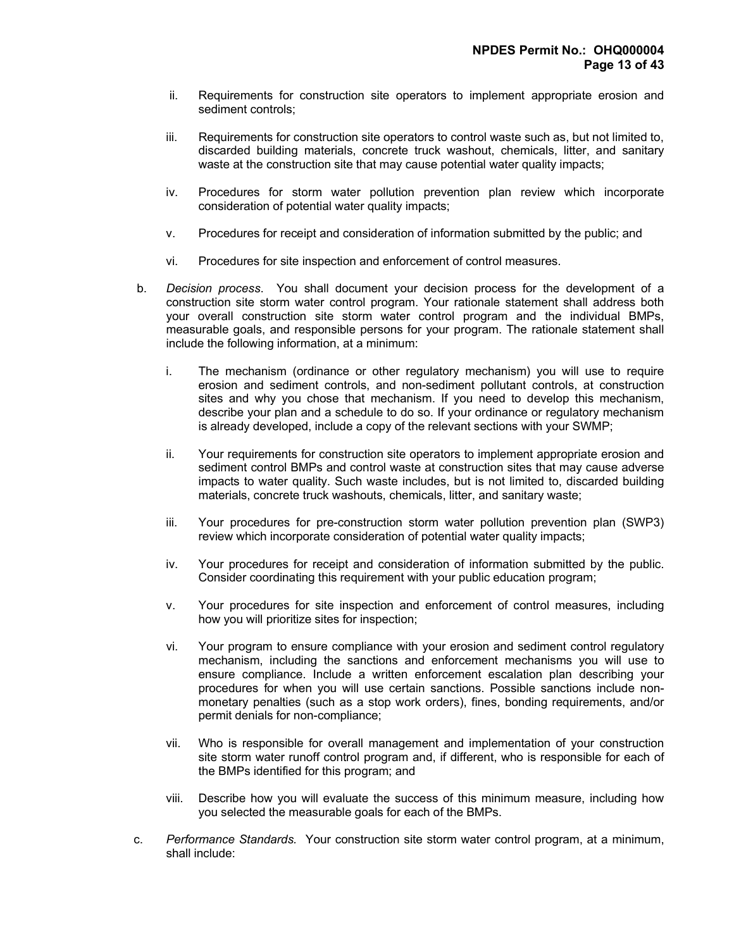- ii. Requirements for construction site operators to implement appropriate erosion and sediment controls;
- iii. Requirements for construction site operators to control waste such as, but not limited to, discarded building materials, concrete truck washout, chemicals, litter, and sanitary waste at the construction site that may cause potential water quality impacts;
- iv. Procedures for storm water pollution prevention plan review which incorporate consideration of potential water quality impacts;
- v. Procedures for receipt and consideration of information submitted by the public; and
- vi. Procedures for site inspection and enforcement of control measures.
- b. Decision process. You shall document your decision process for the development of a construction site storm water control program. Your rationale statement shall address both your overall construction site storm water control program and the individual BMPs, measurable goals, and responsible persons for your program. The rationale statement shall include the following information, at a minimum:
	- i. The mechanism (ordinance or other regulatory mechanism) you will use to require erosion and sediment controls, and non-sediment pollutant controls, at construction sites and why you chose that mechanism. If you need to develop this mechanism, describe your plan and a schedule to do so. If your ordinance or regulatory mechanism is already developed, include a copy of the relevant sections with your SWMP;
	- ii. Your requirements for construction site operators to implement appropriate erosion and sediment control BMPs and control waste at construction sites that may cause adverse impacts to water quality. Such waste includes, but is not limited to, discarded building materials, concrete truck washouts, chemicals, litter, and sanitary waste;
	- iii. Your procedures for pre-construction storm water pollution prevention plan (SWP3) review which incorporate consideration of potential water quality impacts;
	- iv. Your procedures for receipt and consideration of information submitted by the public. Consider coordinating this requirement with your public education program;
	- v. Your procedures for site inspection and enforcement of control measures, including how you will prioritize sites for inspection;
	- vi. Your program to ensure compliance with your erosion and sediment control regulatory mechanism, including the sanctions and enforcement mechanisms you will use to ensure compliance. Include a written enforcement escalation plan describing your procedures for when you will use certain sanctions. Possible sanctions include nonmonetary penalties (such as a stop work orders), fines, bonding requirements, and/or permit denials for non-compliance;
	- vii. Who is responsible for overall management and implementation of your construction site storm water runoff control program and, if different, who is responsible for each of the BMPs identified for this program; and
	- viii. Describe how you will evaluate the success of this minimum measure, including how you selected the measurable goals for each of the BMPs.
- c. Performance Standards. Your construction site storm water control program, at a minimum, shall include: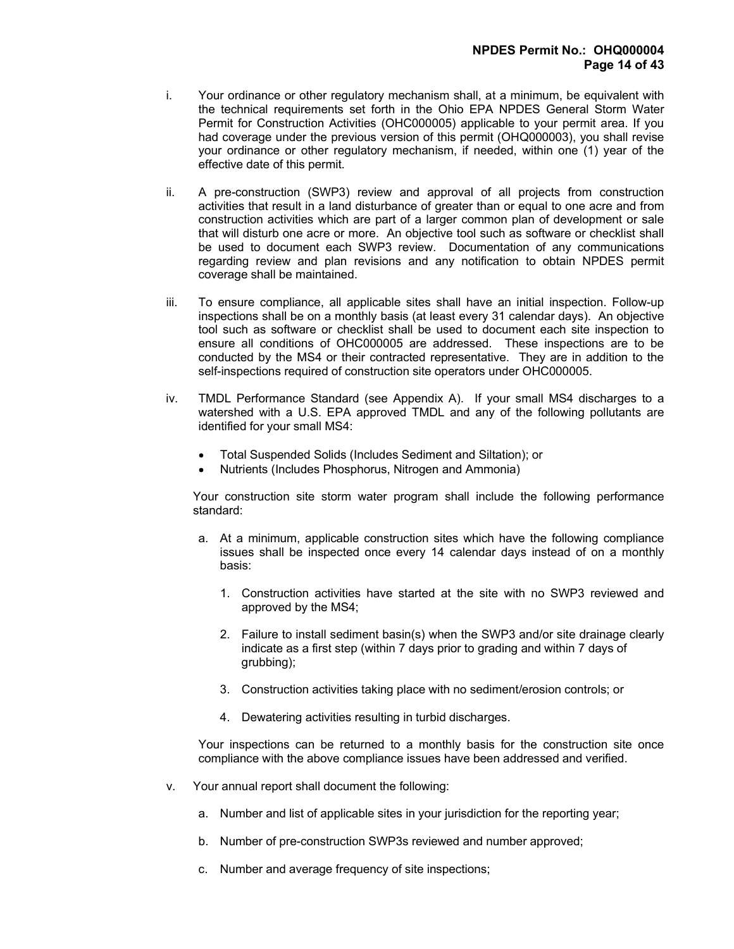- i. Your ordinance or other regulatory mechanism shall, at a minimum, be equivalent with the technical requirements set forth in the Ohio EPA NPDES General Storm Water Permit for Construction Activities (OHC000005) applicable to your permit area. If you had coverage under the previous version of this permit (OHQ000003), you shall revise your ordinance or other regulatory mechanism, if needed, within one (1) year of the effective date of this permit.
- ii. A pre-construction (SWP3) review and approval of all projects from construction activities that result in a land disturbance of greater than or equal to one acre and from construction activities which are part of a larger common plan of development or sale that will disturb one acre or more. An objective tool such as software or checklist shall be used to document each SWP3 review. Documentation of any communications regarding review and plan revisions and any notification to obtain NPDES permit coverage shall be maintained.
- iii. To ensure compliance, all applicable sites shall have an initial inspection. Follow-up inspections shall be on a monthly basis (at least every 31 calendar days). An objective tool such as software or checklist shall be used to document each site inspection to ensure all conditions of OHC000005 are addressed. These inspections are to be conducted by the MS4 or their contracted representative. They are in addition to the self-inspections required of construction site operators under OHC000005.
- iv. TMDL Performance Standard (see Appendix A). If your small MS4 discharges to a watershed with a U.S. EPA approved TMDL and any of the following pollutants are identified for your small MS4:
	- Total Suspended Solids (Includes Sediment and Siltation); or
	- Nutrients (Includes Phosphorus, Nitrogen and Ammonia)

 Your construction site storm water program shall include the following performance standard:

- a. At a minimum, applicable construction sites which have the following compliance issues shall be inspected once every 14 calendar days instead of on a monthly basis:
	- 1. Construction activities have started at the site with no SWP3 reviewed and approved by the MS4;
	- 2. Failure to install sediment basin(s) when the SWP3 and/or site drainage clearly indicate as a first step (within 7 days prior to grading and within 7 days of grubbing);
	- 3. Construction activities taking place with no sediment/erosion controls; or
	- 4. Dewatering activities resulting in turbid discharges.

 Your inspections can be returned to a monthly basis for the construction site once compliance with the above compliance issues have been addressed and verified.

- v. Your annual report shall document the following:
	- a. Number and list of applicable sites in your jurisdiction for the reporting year;
	- b. Number of pre-construction SWP3s reviewed and number approved;
	- c. Number and average frequency of site inspections;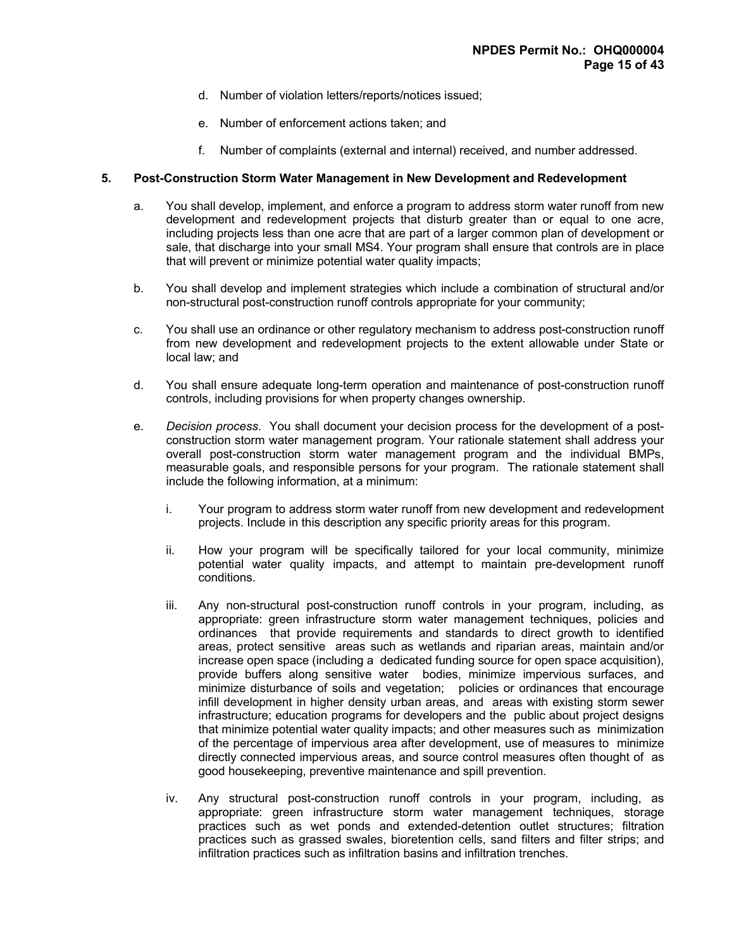- d. Number of violation letters/reports/notices issued;
- e. Number of enforcement actions taken; and
- f. Number of complaints (external and internal) received, and number addressed.

# 5. Post-Construction Storm Water Management in New Development and Redevelopment

- a. You shall develop, implement, and enforce a program to address storm water runoff from new development and redevelopment projects that disturb greater than or equal to one acre, including projects less than one acre that are part of a larger common plan of development or sale, that discharge into your small MS4. Your program shall ensure that controls are in place that will prevent or minimize potential water quality impacts;
- b. You shall develop and implement strategies which include a combination of structural and/or non-structural post-construction runoff controls appropriate for your community;
- c. You shall use an ordinance or other regulatory mechanism to address post-construction runoff from new development and redevelopment projects to the extent allowable under State or local law; and
- d. You shall ensure adequate long-term operation and maintenance of post-construction runoff controls, including provisions for when property changes ownership.
- e. Decision process. You shall document your decision process for the development of a postconstruction storm water management program. Your rationale statement shall address your overall post-construction storm water management program and the individual BMPs, measurable goals, and responsible persons for your program. The rationale statement shall include the following information, at a minimum:
	- i. Your program to address storm water runoff from new development and redevelopment projects. Include in this description any specific priority areas for this program.
	- ii. How your program will be specifically tailored for your local community, minimize potential water quality impacts, and attempt to maintain pre-development runoff conditions.
	- iii. Any non-structural post-construction runoff controls in your program, including, as appropriate: green infrastructure storm water management techniques, policies and ordinances that provide requirements and standards to direct growth to identified areas, protect sensitive areas such as wetlands and riparian areas, maintain and/or increase open space (including a dedicated funding source for open space acquisition), provide buffers along sensitive water bodies, minimize impervious surfaces, and minimize disturbance of soils and vegetation; policies or ordinances that encourage infill development in higher density urban areas, and areas with existing storm sewer infrastructure; education programs for developers and the public about project designs that minimize potential water quality impacts; and other measures such as minimization of the percentage of impervious area after development, use of measures to minimize directly connected impervious areas, and source control measures often thought of as good housekeeping, preventive maintenance and spill prevention.
	- iv. Any structural post-construction runoff controls in your program, including, as appropriate: green infrastructure storm water management techniques, storage practices such as wet ponds and extended-detention outlet structures; filtration practices such as grassed swales, bioretention cells, sand filters and filter strips; and infiltration practices such as infiltration basins and infiltration trenches.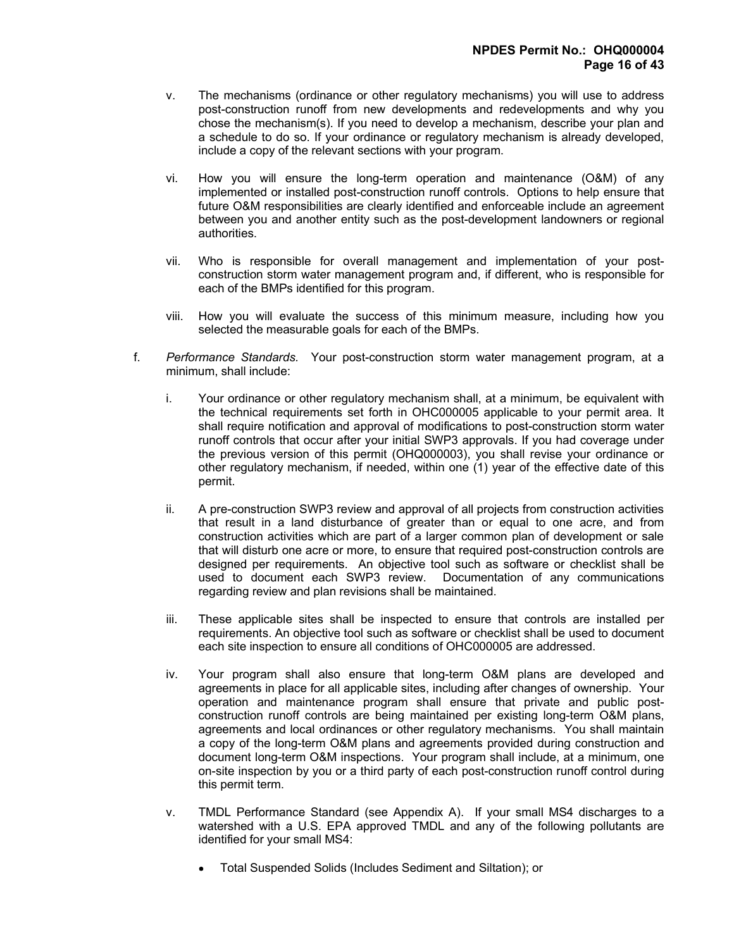- v. The mechanisms (ordinance or other regulatory mechanisms) you will use to address post-construction runoff from new developments and redevelopments and why you chose the mechanism(s). If you need to develop a mechanism, describe your plan and a schedule to do so. If your ordinance or regulatory mechanism is already developed, include a copy of the relevant sections with your program.
- vi. How you will ensure the long-term operation and maintenance (O&M) of any implemented or installed post-construction runoff controls. Options to help ensure that future O&M responsibilities are clearly identified and enforceable include an agreement between you and another entity such as the post-development landowners or regional authorities.
- vii. Who is responsible for overall management and implementation of your postconstruction storm water management program and, if different, who is responsible for each of the BMPs identified for this program.
- viii. How you will evaluate the success of this minimum measure, including how you selected the measurable goals for each of the BMPs.
- f. Performance Standards. Your post-construction storm water management program, at a minimum, shall include:
	- i. Your ordinance or other regulatory mechanism shall, at a minimum, be equivalent with the technical requirements set forth in OHC000005 applicable to your permit area. It shall require notification and approval of modifications to post-construction storm water runoff controls that occur after your initial SWP3 approvals. If you had coverage under the previous version of this permit (OHQ000003), you shall revise your ordinance or other regulatory mechanism, if needed, within one (1) year of the effective date of this permit.
	- ii. A pre-construction SWP3 review and approval of all projects from construction activities that result in a land disturbance of greater than or equal to one acre, and from construction activities which are part of a larger common plan of development or sale that will disturb one acre or more, to ensure that required post-construction controls are designed per requirements. An objective tool such as software or checklist shall be used to document each SWP3 review. Documentation of any communications regarding review and plan revisions shall be maintained.
	- iii. These applicable sites shall be inspected to ensure that controls are installed per requirements. An objective tool such as software or checklist shall be used to document each site inspection to ensure all conditions of OHC000005 are addressed.
	- iv. Your program shall also ensure that long-term O&M plans are developed and agreements in place for all applicable sites, including after changes of ownership. Your operation and maintenance program shall ensure that private and public postconstruction runoff controls are being maintained per existing long-term O&M plans, agreements and local ordinances or other regulatory mechanisms. You shall maintain a copy of the long-term O&M plans and agreements provided during construction and document long-term O&M inspections. Your program shall include, at a minimum, one on-site inspection by you or a third party of each post-construction runoff control during this permit term.
	- v. TMDL Performance Standard (see Appendix A). If your small MS4 discharges to a watershed with a U.S. EPA approved TMDL and any of the following pollutants are identified for your small MS4:
		- Total Suspended Solids (Includes Sediment and Siltation); or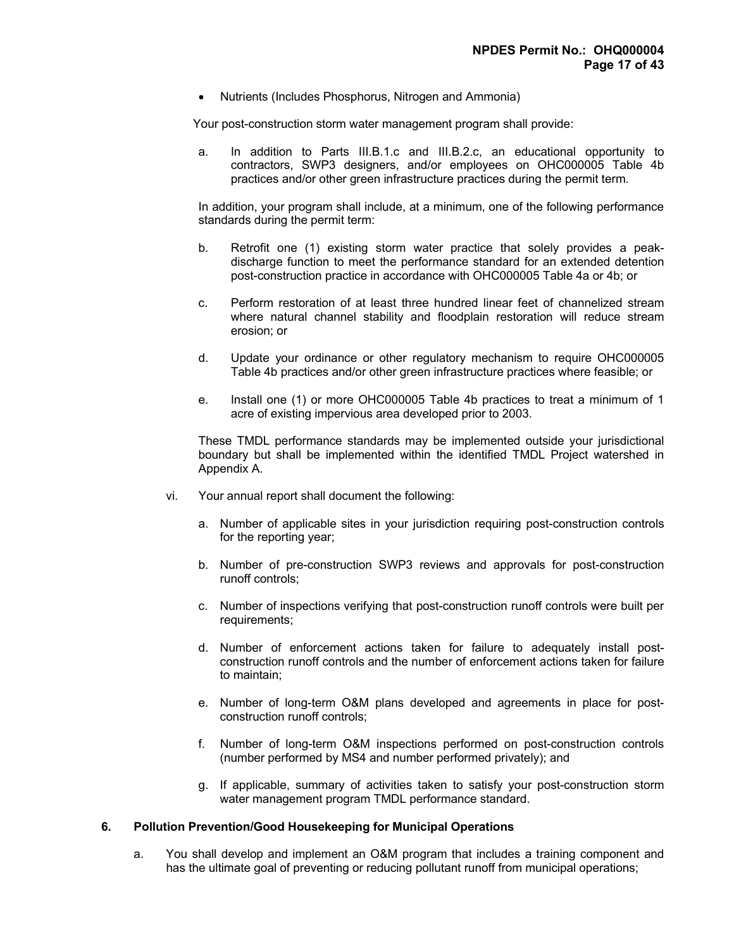• Nutrients (Includes Phosphorus, Nitrogen and Ammonia)

Your post-construction storm water management program shall provide:

a. In addition to Parts III.B.1.c and III.B.2.c, an educational opportunity to contractors, SWP3 designers, and/or employees on OHC000005 Table 4b practices and/or other green infrastructure practices during the permit term.

In addition, your program shall include, at a minimum, one of the following performance standards during the permit term:

- b. Retrofit one (1) existing storm water practice that solely provides a peakdischarge function to meet the performance standard for an extended detention post-construction practice in accordance with OHC000005 Table 4a or 4b; or
- c. Perform restoration of at least three hundred linear feet of channelized stream where natural channel stability and floodplain restoration will reduce stream erosion; or
- d. Update your ordinance or other regulatory mechanism to require OHC000005 Table 4b practices and/or other green infrastructure practices where feasible; or
- e. Install one (1) or more OHC000005 Table 4b practices to treat a minimum of 1 acre of existing impervious area developed prior to 2003.

 These TMDL performance standards may be implemented outside your jurisdictional boundary but shall be implemented within the identified TMDL Project watershed in Appendix A.

- vi. Your annual report shall document the following:
	- a. Number of applicable sites in your jurisdiction requiring post-construction controls for the reporting year;
	- b. Number of pre-construction SWP3 reviews and approvals for post-construction runoff controls;
	- c. Number of inspections verifying that post-construction runoff controls were built per requirements;
	- d. Number of enforcement actions taken for failure to adequately install postconstruction runoff controls and the number of enforcement actions taken for failure to maintain;
	- e. Number of long-term O&M plans developed and agreements in place for postconstruction runoff controls;
	- f. Number of long-term O&M inspections performed on post-construction controls (number performed by MS4 and number performed privately); and
	- g. If applicable, summary of activities taken to satisfy your post-construction storm water management program TMDL performance standard.

# 6. Pollution Prevention/Good Housekeeping for Municipal Operations

 a. You shall develop and implement an O&M program that includes a training component and has the ultimate goal of preventing or reducing pollutant runoff from municipal operations;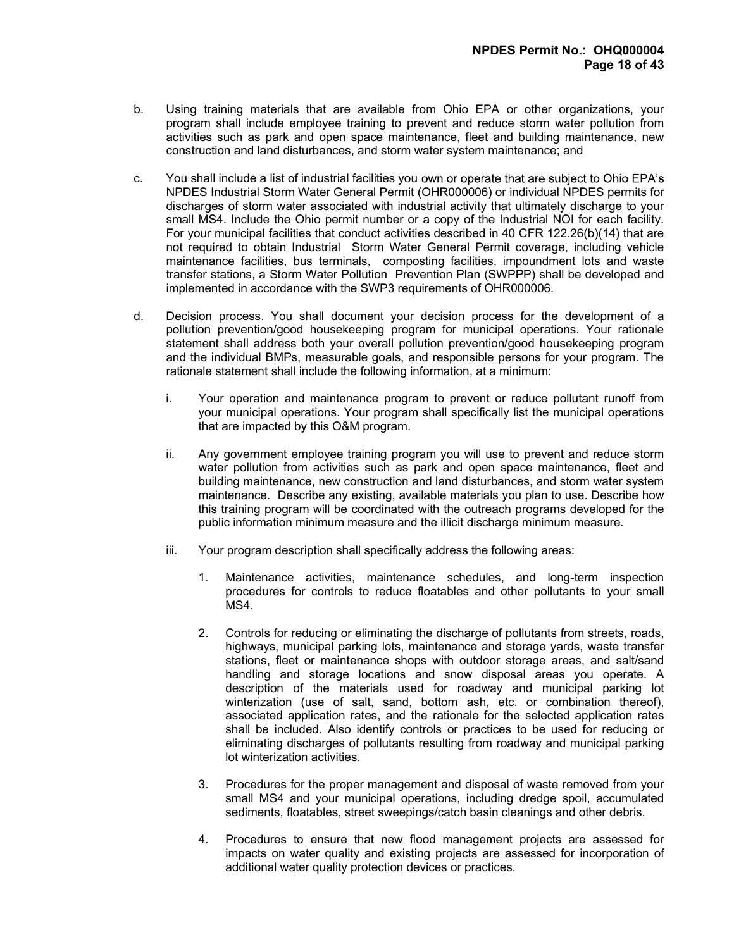- b. Using training materials that are available from Ohio EPA or other organizations, your program shall include employee training to prevent and reduce storm water pollution from activities such as park and open space maintenance, fleet and building maintenance, new construction and land disturbances, and storm water system maintenance; and
- c. You shall include a list of industrial facilities you own or operate that are subject to Ohio EPA's NPDES Industrial Storm Water General Permit (OHR000006) or individual NPDES permits for discharges of storm water associated with industrial activity that ultimately discharge to your small MS4. Include the Ohio permit number or a copy of the Industrial NOI for each facility. For your municipal facilities that conduct activities described in 40 CFR 122.26(b)(14) that are not required to obtain Industrial Storm Water General Permit coverage, including vehicle maintenance facilities, bus terminals, composting facilities, impoundment lots and waste transfer stations, a Storm Water Pollution Prevention Plan (SWPPP) shall be developed and implemented in accordance with the SWP3 requirements of OHR000006.
- d. Decision process. You shall document your decision process for the development of a pollution prevention/good housekeeping program for municipal operations. Your rationale statement shall address both your overall pollution prevention/good housekeeping program and the individual BMPs, measurable goals, and responsible persons for your program. The rationale statement shall include the following information, at a minimum:
	- i. Your operation and maintenance program to prevent or reduce pollutant runoff from your municipal operations. Your program shall specifically list the municipal operations that are impacted by this O&M program.
	- ii. Any government employee training program you will use to prevent and reduce storm water pollution from activities such as park and open space maintenance, fleet and building maintenance, new construction and land disturbances, and storm water system maintenance. Describe any existing, available materials you plan to use. Describe how this training program will be coordinated with the outreach programs developed for the public information minimum measure and the illicit discharge minimum measure.
	- iii. Your program description shall specifically address the following areas:
		- 1. Maintenance activities, maintenance schedules, and long-term inspection procedures for controls to reduce floatables and other pollutants to your small MS4.
		- 2. Controls for reducing or eliminating the discharge of pollutants from streets, roads, highways, municipal parking lots, maintenance and storage yards, waste transfer stations, fleet or maintenance shops with outdoor storage areas, and salt/sand handling and storage locations and snow disposal areas you operate. A description of the materials used for roadway and municipal parking lot winterization (use of salt, sand, bottom ash, etc. or combination thereof), associated application rates, and the rationale for the selected application rates shall be included. Also identify controls or practices to be used for reducing or eliminating discharges of pollutants resulting from roadway and municipal parking lot winterization activities.
		- 3. Procedures for the proper management and disposal of waste removed from your small MS4 and your municipal operations, including dredge spoil, accumulated sediments, floatables, street sweepings/catch basin cleanings and other debris.
		- 4. Procedures to ensure that new flood management projects are assessed for impacts on water quality and existing projects are assessed for incorporation of additional water quality protection devices or practices.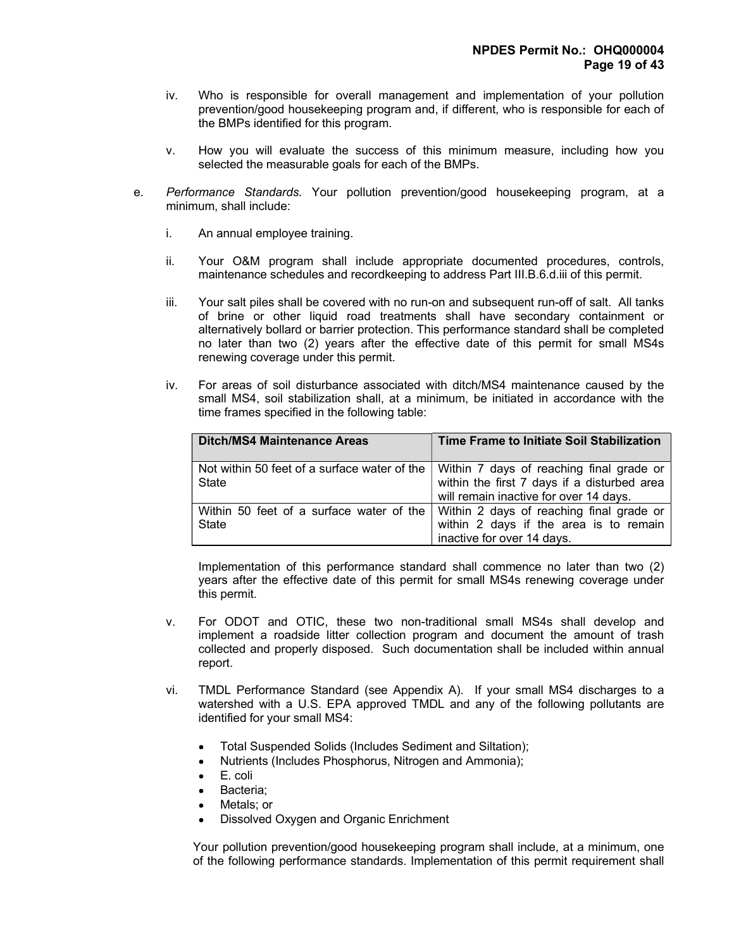- iv. Who is responsible for overall management and implementation of your pollution prevention/good housekeeping program and, if different, who is responsible for each of the BMPs identified for this program.
- v. How you will evaluate the success of this minimum measure, including how you selected the measurable goals for each of the BMPs.
- e. Performance Standards. Your pollution prevention/good housekeeping program, at a minimum, shall include:
	- i. An annual employee training.
	- ii. Your O&M program shall include appropriate documented procedures, controls, maintenance schedules and recordkeeping to address Part III.B.6.d.iii of this permit.
	- iii. Your salt piles shall be covered with no run-on and subsequent run-off of salt. All tanks of brine or other liquid road treatments shall have secondary containment or alternatively bollard or barrier protection. This performance standard shall be completed no later than two (2) years after the effective date of this permit for small MS4s renewing coverage under this permit.
	- iv. For areas of soil disturbance associated with ditch/MS4 maintenance caused by the small MS4, soil stabilization shall, at a minimum, be initiated in accordance with the time frames specified in the following table:

| <b>Ditch/MS4 Maintenance Areas</b>                    | Time Frame to Initiate Soil Stabilization                                                                                                                   |
|-------------------------------------------------------|-------------------------------------------------------------------------------------------------------------------------------------------------------------|
| Not within 50 feet of a surface water of the<br>State | Within 7 days of reaching final grade or<br>within the first 7 days if a disturbed area<br>will remain inactive for over 14 days.                           |
| State                                                 | Within 50 feet of a surface water of the   Within 2 days of reaching final grade or<br>within 2 days if the area is to remain<br>inactive for over 14 days. |

Implementation of this performance standard shall commence no later than two (2) years after the effective date of this permit for small MS4s renewing coverage under this permit.

- v. For ODOT and OTIC, these two non-traditional small MS4s shall develop and implement a roadside litter collection program and document the amount of trash collected and properly disposed. Such documentation shall be included within annual report.
- vi. TMDL Performance Standard (see Appendix A). If your small MS4 discharges to a watershed with a U.S. EPA approved TMDL and any of the following pollutants are identified for your small MS4:
	- Total Suspended Solids (Includes Sediment and Siltation);
	- Nutrients (Includes Phosphorus, Nitrogen and Ammonia);
	- E. coli
	- Bacteria;
	- Metals; or
	- Dissolved Oxygen and Organic Enrichment

 Your pollution prevention/good housekeeping program shall include, at a minimum, one of the following performance standards. Implementation of this permit requirement shall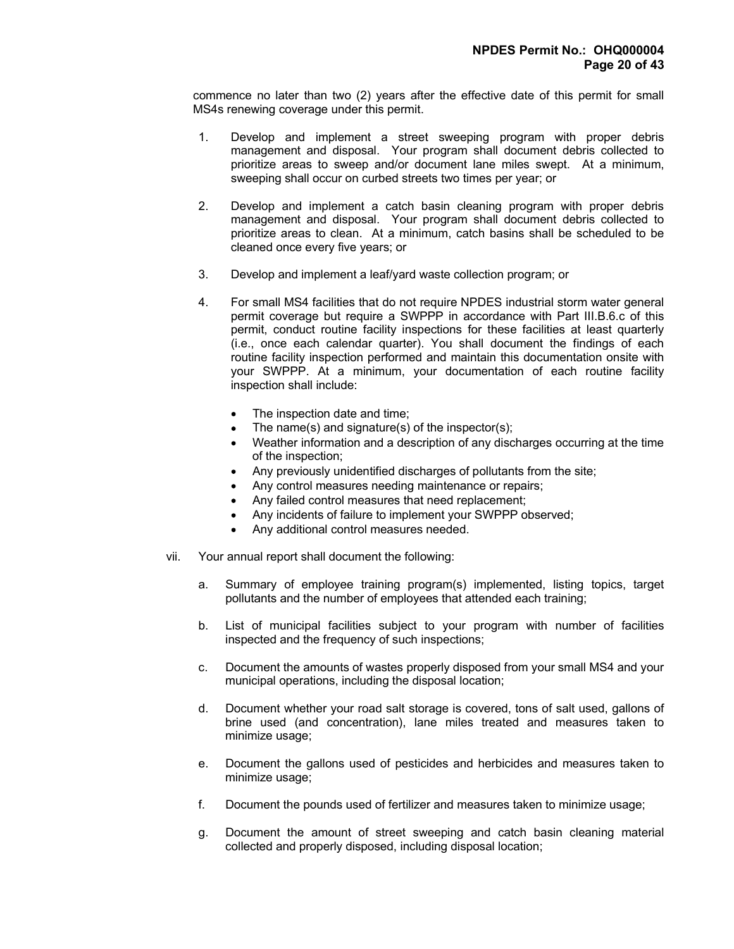commence no later than two (2) years after the effective date of this permit for small MS4s renewing coverage under this permit.

- 1. Develop and implement a street sweeping program with proper debris management and disposal. Your program shall document debris collected to prioritize areas to sweep and/or document lane miles swept. At a minimum, sweeping shall occur on curbed streets two times per year; or
- 2. Develop and implement a catch basin cleaning program with proper debris management and disposal. Your program shall document debris collected to prioritize areas to clean. At a minimum, catch basins shall be scheduled to be cleaned once every five years; or
- 3. Develop and implement a leaf/yard waste collection program; or
- 4. For small MS4 facilities that do not require NPDES industrial storm water general permit coverage but require a SWPPP in accordance with Part III.B.6.c of this permit, conduct routine facility inspections for these facilities at least quarterly (i.e., once each calendar quarter). You shall document the findings of each routine facility inspection performed and maintain this documentation onsite with your SWPPP. At a minimum, your documentation of each routine facility inspection shall include:
	- The inspection date and time;
	- The name(s) and signature(s) of the inspector(s);
	- Weather information and a description of any discharges occurring at the time of the inspection;
	- Any previously unidentified discharges of pollutants from the site;
	- Any control measures needing maintenance or repairs;
	- Any failed control measures that need replacement;
	- Any incidents of failure to implement your SWPPP observed;
	- Any additional control measures needed.
- vii. Your annual report shall document the following:
	- a. Summary of employee training program(s) implemented, listing topics, target pollutants and the number of employees that attended each training;
	- b. List of municipal facilities subject to your program with number of facilities inspected and the frequency of such inspections;
	- c. Document the amounts of wastes properly disposed from your small MS4 and your municipal operations, including the disposal location;
	- d. Document whether your road salt storage is covered, tons of salt used, gallons of brine used (and concentration), lane miles treated and measures taken to minimize usage;
	- e. Document the gallons used of pesticides and herbicides and measures taken to minimize usage;
	- f. Document the pounds used of fertilizer and measures taken to minimize usage;
	- g. Document the amount of street sweeping and catch basin cleaning material collected and properly disposed, including disposal location;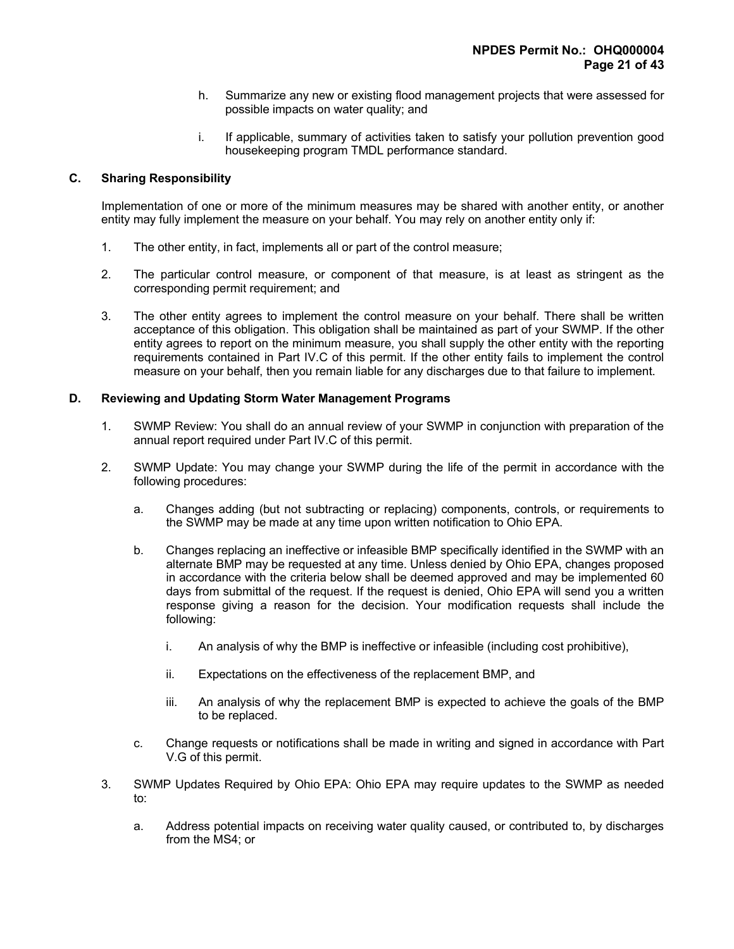- h. Summarize any new or existing flood management projects that were assessed for possible impacts on water quality; and
- i. If applicable, summary of activities taken to satisfy your pollution prevention good housekeeping program TMDL performance standard.

# C. Sharing Responsibility

 Implementation of one or more of the minimum measures may be shared with another entity, or another entity may fully implement the measure on your behalf. You may rely on another entity only if:

- 1. The other entity, in fact, implements all or part of the control measure;
- 2. The particular control measure, or component of that measure, is at least as stringent as the corresponding permit requirement; and
- 3. The other entity agrees to implement the control measure on your behalf. There shall be written acceptance of this obligation. This obligation shall be maintained as part of your SWMP. If the other entity agrees to report on the minimum measure, you shall supply the other entity with the reporting requirements contained in Part IV.C of this permit. If the other entity fails to implement the control measure on your behalf, then you remain liable for any discharges due to that failure to implement.

# D. Reviewing and Updating Storm Water Management Programs

- 1. SWMP Review: You shall do an annual review of your SWMP in conjunction with preparation of the annual report required under Part IV.C of this permit.
- 2. SWMP Update: You may change your SWMP during the life of the permit in accordance with the following procedures:
	- a. Changes adding (but not subtracting or replacing) components, controls, or requirements to the SWMP may be made at any time upon written notification to Ohio EPA.
	- b. Changes replacing an ineffective or infeasible BMP specifically identified in the SWMP with an alternate BMP may be requested at any time. Unless denied by Ohio EPA, changes proposed in accordance with the criteria below shall be deemed approved and may be implemented 60 days from submittal of the request. If the request is denied, Ohio EPA will send you a written response giving a reason for the decision. Your modification requests shall include the following:
		- i. An analysis of why the BMP is ineffective or infeasible (including cost prohibitive),
		- ii. Expectations on the effectiveness of the replacement BMP, and
		- iii. An analysis of why the replacement BMP is expected to achieve the goals of the BMP to be replaced.
	- c. Change requests or notifications shall be made in writing and signed in accordance with Part V.G of this permit.
- 3. SWMP Updates Required by Ohio EPA: Ohio EPA may require updates to the SWMP as needed to:
	- a. Address potential impacts on receiving water quality caused, or contributed to, by discharges from the MS4; or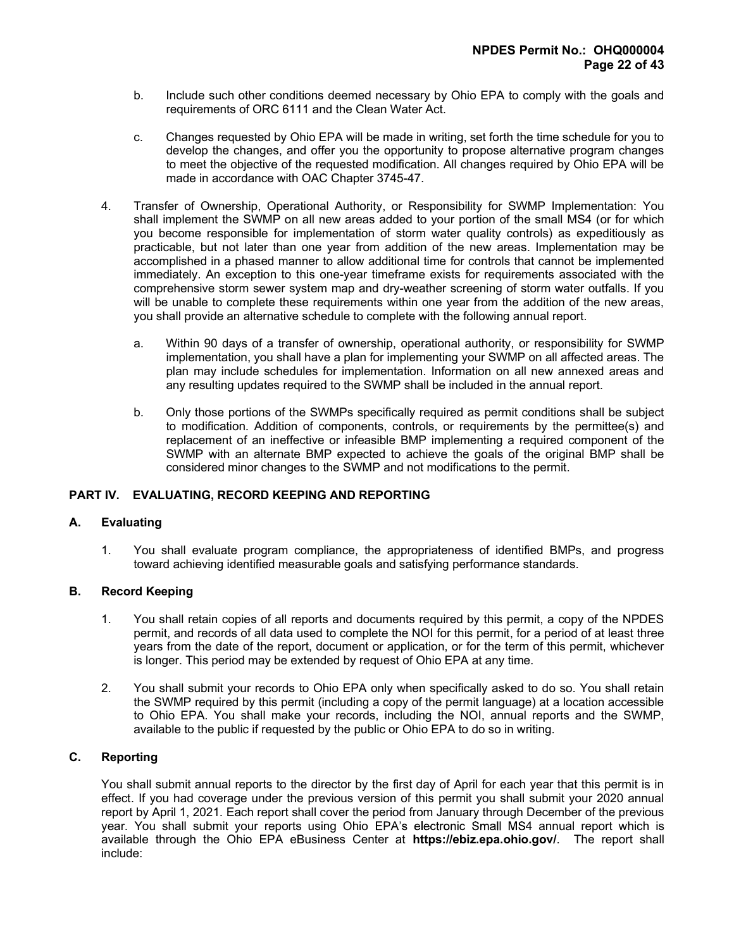- b. Include such other conditions deemed necessary by Ohio EPA to comply with the goals and requirements of ORC 6111 and the Clean Water Act.
- c. Changes requested by Ohio EPA will be made in writing, set forth the time schedule for you to develop the changes, and offer you the opportunity to propose alternative program changes to meet the objective of the requested modification. All changes required by Ohio EPA will be made in accordance with OAC Chapter 3745-47.
- 4. Transfer of Ownership, Operational Authority, or Responsibility for SWMP Implementation: You shall implement the SWMP on all new areas added to your portion of the small MS4 (or for which you become responsible for implementation of storm water quality controls) as expeditiously as practicable, but not later than one year from addition of the new areas. Implementation may be accomplished in a phased manner to allow additional time for controls that cannot be implemented immediately. An exception to this one-year timeframe exists for requirements associated with the comprehensive storm sewer system map and dry-weather screening of storm water outfalls. If you will be unable to complete these requirements within one year from the addition of the new areas, you shall provide an alternative schedule to complete with the following annual report.
	- a. Within 90 days of a transfer of ownership, operational authority, or responsibility for SWMP implementation, you shall have a plan for implementing your SWMP on all affected areas. The plan may include schedules for implementation. Information on all new annexed areas and any resulting updates required to the SWMP shall be included in the annual report.
	- b. Only those portions of the SWMPs specifically required as permit conditions shall be subject to modification. Addition of components, controls, or requirements by the permittee(s) and replacement of an ineffective or infeasible BMP implementing a required component of the SWMP with an alternate BMP expected to achieve the goals of the original BMP shall be considered minor changes to the SWMP and not modifications to the permit.

# PART IV. EVALUATING, RECORD KEEPING AND REPORTING

## A. Evaluating

 1. You shall evaluate program compliance, the appropriateness of identified BMPs, and progress toward achieving identified measurable goals and satisfying performance standards.

## B. Record Keeping

- 1. You shall retain copies of all reports and documents required by this permit, a copy of the NPDES permit, and records of all data used to complete the NOI for this permit, for a period of at least three years from the date of the report, document or application, or for the term of this permit, whichever is longer. This period may be extended by request of Ohio EPA at any time.
- 2. You shall submit your records to Ohio EPA only when specifically asked to do so. You shall retain the SWMP required by this permit (including a copy of the permit language) at a location accessible to Ohio EPA. You shall make your records, including the NOI, annual reports and the SWMP, available to the public if requested by the public or Ohio EPA to do so in writing.

## C. Reporting

 You shall submit annual reports to the director by the first day of April for each year that this permit is in effect. If you had coverage under the previous version of this permit you shall submit your 2020 annual report by April 1, 2021. Each report shall cover the period from January through December of the previous year. You shall submit your reports using Ohio EPA's electronic Small MS4 annual report which is available through the Ohio EPA eBusiness Center at https://ebiz.epa.ohio.gov/. The report shall include: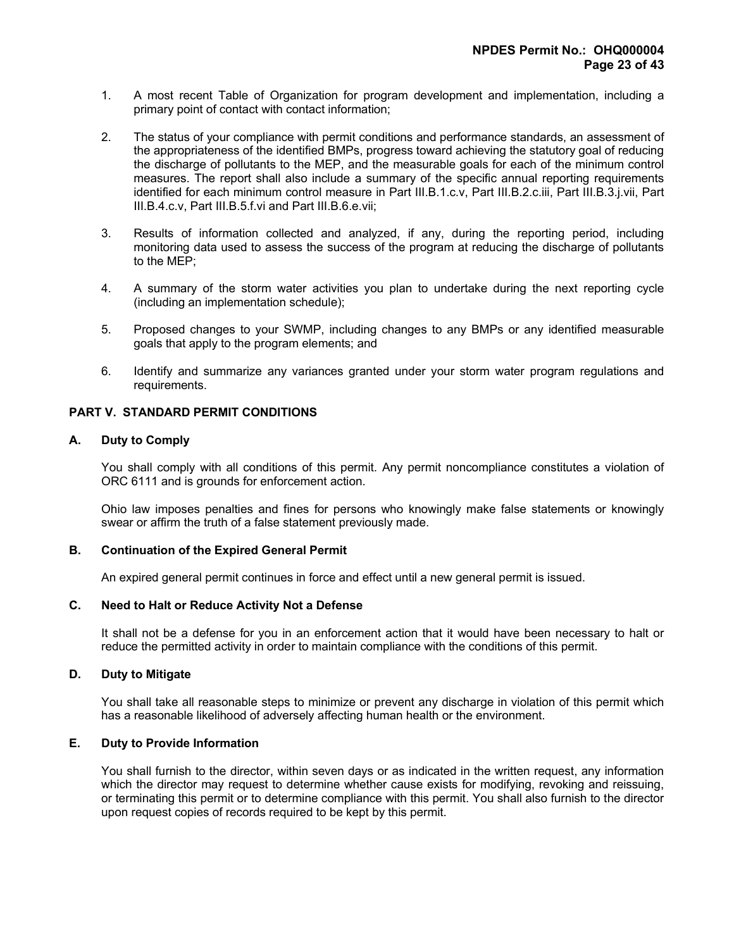- 1. A most recent Table of Organization for program development and implementation, including a primary point of contact with contact information;
- 2. The status of your compliance with permit conditions and performance standards, an assessment of the appropriateness of the identified BMPs, progress toward achieving the statutory goal of reducing the discharge of pollutants to the MEP, and the measurable goals for each of the minimum control measures. The report shall also include a summary of the specific annual reporting requirements identified for each minimum control measure in Part III.B.1.c.v, Part III.B.2.c.iii, Part III.B.3.j.vii, Part III.B.4.c.v, Part III.B.5.f.vi and Part III.B.6.e.vii;
- 3. Results of information collected and analyzed, if any, during the reporting period, including monitoring data used to assess the success of the program at reducing the discharge of pollutants to the MEP;
- 4. A summary of the storm water activities you plan to undertake during the next reporting cycle (including an implementation schedule);
- 5. Proposed changes to your SWMP, including changes to any BMPs or any identified measurable goals that apply to the program elements; and
- 6. Identify and summarize any variances granted under your storm water program regulations and requirements.

### PART V. STANDARD PERMIT CONDITIONS

### A. Duty to Comply

 You shall comply with all conditions of this permit. Any permit noncompliance constitutes a violation of ORC 6111 and is grounds for enforcement action.

 Ohio law imposes penalties and fines for persons who knowingly make false statements or knowingly swear or affirm the truth of a false statement previously made.

#### B. Continuation of the Expired General Permit

An expired general permit continues in force and effect until a new general permit is issued.

#### C. Need to Halt or Reduce Activity Not a Defense

 It shall not be a defense for you in an enforcement action that it would have been necessary to halt or reduce the permitted activity in order to maintain compliance with the conditions of this permit.

#### D. Duty to Mitigate

 You shall take all reasonable steps to minimize or prevent any discharge in violation of this permit which has a reasonable likelihood of adversely affecting human health or the environment.

#### E. Duty to Provide Information

 You shall furnish to the director, within seven days or as indicated in the written request, any information which the director may request to determine whether cause exists for modifying, revoking and reissuing, or terminating this permit or to determine compliance with this permit. You shall also furnish to the director upon request copies of records required to be kept by this permit.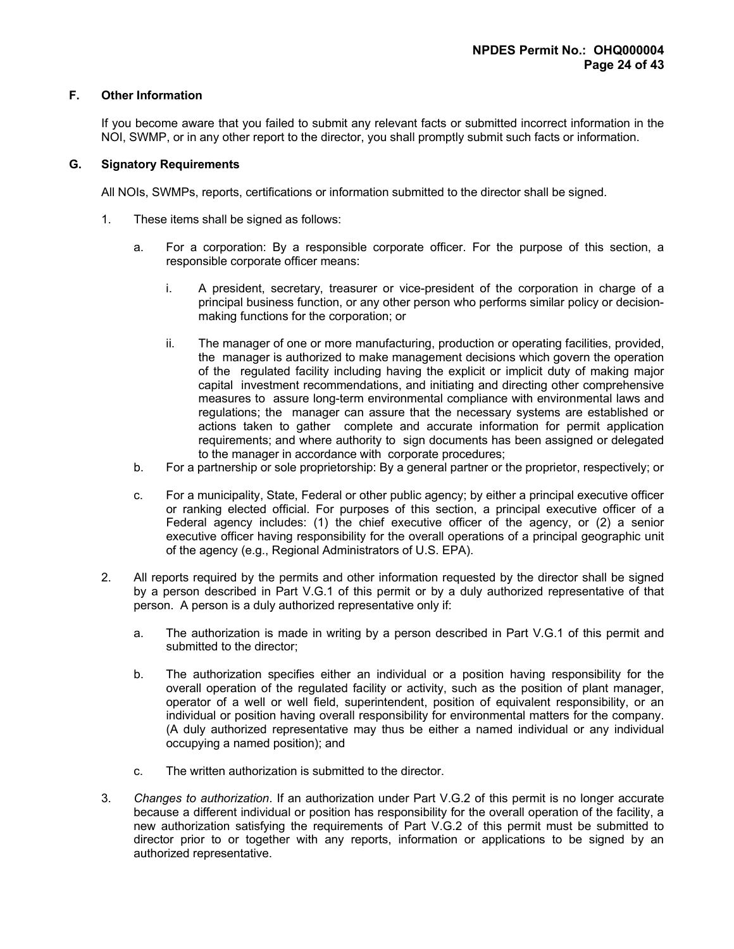# F. Other Information

 If you become aware that you failed to submit any relevant facts or submitted incorrect information in the NOI, SWMP, or in any other report to the director, you shall promptly submit such facts or information.

# G. Signatory Requirements

All NOIs, SWMPs, reports, certifications or information submitted to the director shall be signed.

- 1. These items shall be signed as follows:
	- a. For a corporation: By a responsible corporate officer. For the purpose of this section, a responsible corporate officer means:
		- i. A president, secretary, treasurer or vice-president of the corporation in charge of a principal business function, or any other person who performs similar policy or decisionmaking functions for the corporation; or
		- ii. The manager of one or more manufacturing, production or operating facilities, provided, the manager is authorized to make management decisions which govern the operation of the regulated facility including having the explicit or implicit duty of making major capital investment recommendations, and initiating and directing other comprehensive measures to assure long-term environmental compliance with environmental laws and regulations; the manager can assure that the necessary systems are established or actions taken to gather complete and accurate information for permit application requirements; and where authority to sign documents has been assigned or delegated to the manager in accordance with corporate procedures;
	- b. For a partnership or sole proprietorship: By a general partner or the proprietor, respectively; or
	- c. For a municipality, State, Federal or other public agency; by either a principal executive officer or ranking elected official. For purposes of this section, a principal executive officer of a Federal agency includes: (1) the chief executive officer of the agency, or (2) a senior executive officer having responsibility for the overall operations of a principal geographic unit of the agency (e.g., Regional Administrators of U.S. EPA).
- 2. All reports required by the permits and other information requested by the director shall be signed by a person described in Part V.G.1 of this permit or by a duly authorized representative of that person. A person is a duly authorized representative only if:
	- a. The authorization is made in writing by a person described in Part V.G.1 of this permit and submitted to the director;
	- b. The authorization specifies either an individual or a position having responsibility for the overall operation of the regulated facility or activity, such as the position of plant manager, operator of a well or well field, superintendent, position of equivalent responsibility, or an individual or position having overall responsibility for environmental matters for the company. (A duly authorized representative may thus be either a named individual or any individual occupying a named position); and
	- c. The written authorization is submitted to the director.
- 3. Changes to authorization. If an authorization under Part V.G.2 of this permit is no longer accurate because a different individual or position has responsibility for the overall operation of the facility, a new authorization satisfying the requirements of Part V.G.2 of this permit must be submitted to director prior to or together with any reports, information or applications to be signed by an authorized representative.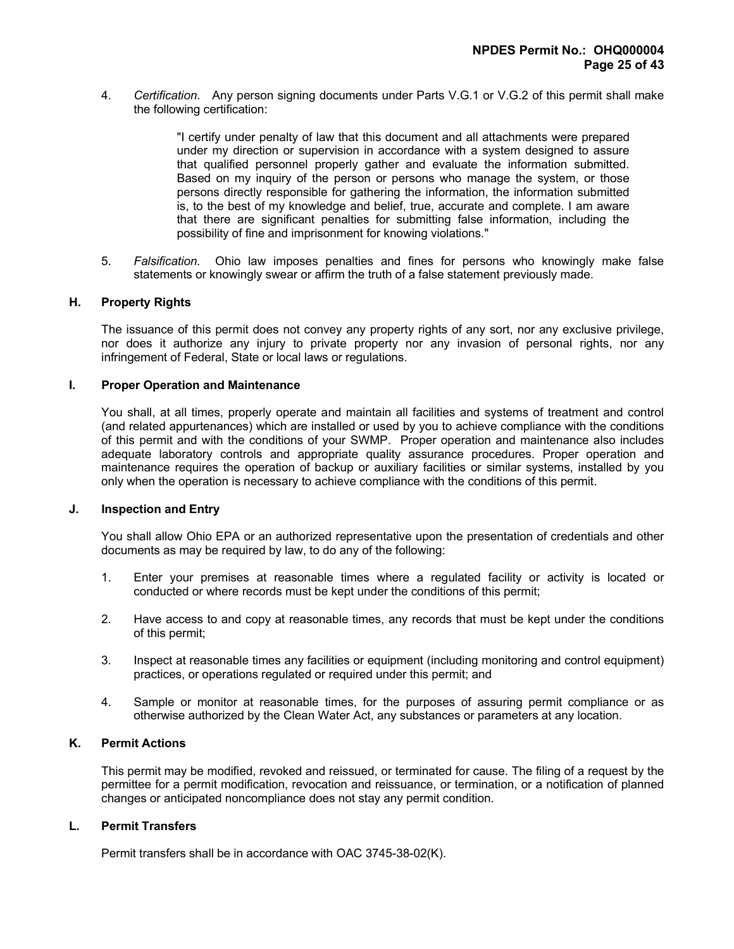4. Certification. Any person signing documents under Parts V.G.1 or V.G.2 of this permit shall make the following certification:

> "I certify under penalty of law that this document and all attachments were prepared under my direction or supervision in accordance with a system designed to assure that qualified personnel properly gather and evaluate the information submitted. Based on my inquiry of the person or persons who manage the system, or those persons directly responsible for gathering the information, the information submitted is, to the best of my knowledge and belief, true, accurate and complete. I am aware that there are significant penalties for submitting false information, including the possibility of fine and imprisonment for knowing violations."

 5. Falsification. Ohio law imposes penalties and fines for persons who knowingly make false statements or knowingly swear or affirm the truth of a false statement previously made.

### H. Property Rights

 The issuance of this permit does not convey any property rights of any sort, nor any exclusive privilege, nor does it authorize any injury to private property nor any invasion of personal rights, nor any infringement of Federal, State or local laws or regulations.

#### I. Proper Operation and Maintenance

 You shall, at all times, properly operate and maintain all facilities and systems of treatment and control (and related appurtenances) which are installed or used by you to achieve compliance with the conditions of this permit and with the conditions of your SWMP. Proper operation and maintenance also includes adequate laboratory controls and appropriate quality assurance procedures. Proper operation and maintenance requires the operation of backup or auxiliary facilities or similar systems, installed by you only when the operation is necessary to achieve compliance with the conditions of this permit.

#### J. Inspection and Entry

 You shall allow Ohio EPA or an authorized representative upon the presentation of credentials and other documents as may be required by law, to do any of the following:

- 1. Enter your premises at reasonable times where a regulated facility or activity is located or conducted or where records must be kept under the conditions of this permit;
- 2. Have access to and copy at reasonable times, any records that must be kept under the conditions of this permit;
- 3. Inspect at reasonable times any facilities or equipment (including monitoring and control equipment) practices, or operations regulated or required under this permit; and
- 4. Sample or monitor at reasonable times, for the purposes of assuring permit compliance or as otherwise authorized by the Clean Water Act, any substances or parameters at any location.

#### K. Permit Actions

 This permit may be modified, revoked and reissued, or terminated for cause. The filing of a request by the permittee for a permit modification, revocation and reissuance, or termination, or a notification of planned changes or anticipated noncompliance does not stay any permit condition.

#### L. Permit Transfers

Permit transfers shall be in accordance with OAC 3745-38-02(K).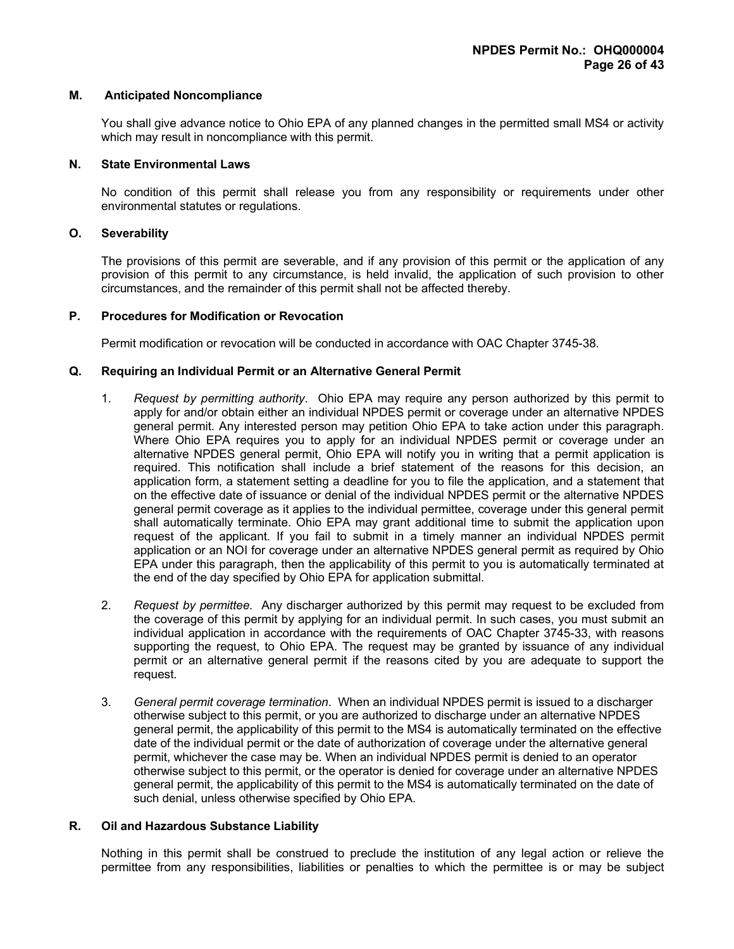### M. Anticipated Noncompliance

 You shall give advance notice to Ohio EPA of any planned changes in the permitted small MS4 or activity which may result in noncompliance with this permit.

### N. State Environmental Laws

 No condition of this permit shall release you from any responsibility or requirements under other environmental statutes or regulations.

### O. Severability

 The provisions of this permit are severable, and if any provision of this permit or the application of any provision of this permit to any circumstance, is held invalid, the application of such provision to other circumstances, and the remainder of this permit shall not be affected thereby.

# P. Procedures for Modification or Revocation

Permit modification or revocation will be conducted in accordance with OAC Chapter 3745-38.

## Q. Requiring an Individual Permit or an Alternative General Permit

- 1. Request by permitting authority. Ohio EPA may require any person authorized by this permit to apply for and/or obtain either an individual NPDES permit or coverage under an alternative NPDES general permit. Any interested person may petition Ohio EPA to take action under this paragraph. Where Ohio EPA requires you to apply for an individual NPDES permit or coverage under an alternative NPDES general permit, Ohio EPA will notify you in writing that a permit application is required. This notification shall include a brief statement of the reasons for this decision, an application form, a statement setting a deadline for you to file the application, and a statement that on the effective date of issuance or denial of the individual NPDES permit or the alternative NPDES general permit coverage as it applies to the individual permittee, coverage under this general permit shall automatically terminate. Ohio EPA may grant additional time to submit the application upon request of the applicant. If you fail to submit in a timely manner an individual NPDES permit application or an NOI for coverage under an alternative NPDES general permit as required by Ohio EPA under this paragraph, then the applicability of this permit to you is automatically terminated at the end of the day specified by Ohio EPA for application submittal.
- 2. Request by permittee. Any discharger authorized by this permit may request to be excluded from the coverage of this permit by applying for an individual permit. In such cases, you must submit an individual application in accordance with the requirements of OAC Chapter 3745-33, with reasons supporting the request, to Ohio EPA. The request may be granted by issuance of any individual permit or an alternative general permit if the reasons cited by you are adequate to support the request.
- 3. General permit coverage termination. When an individual NPDES permit is issued to a discharger otherwise subject to this permit, or you are authorized to discharge under an alternative NPDES general permit, the applicability of this permit to the MS4 is automatically terminated on the effective date of the individual permit or the date of authorization of coverage under the alternative general permit, whichever the case may be. When an individual NPDES permit is denied to an operator otherwise subject to this permit, or the operator is denied for coverage under an alternative NPDES general permit, the applicability of this permit to the MS4 is automatically terminated on the date of such denial, unless otherwise specified by Ohio EPA.

## R. Oil and Hazardous Substance Liability

 Nothing in this permit shall be construed to preclude the institution of any legal action or relieve the permittee from any responsibilities, liabilities or penalties to which the permittee is or may be subject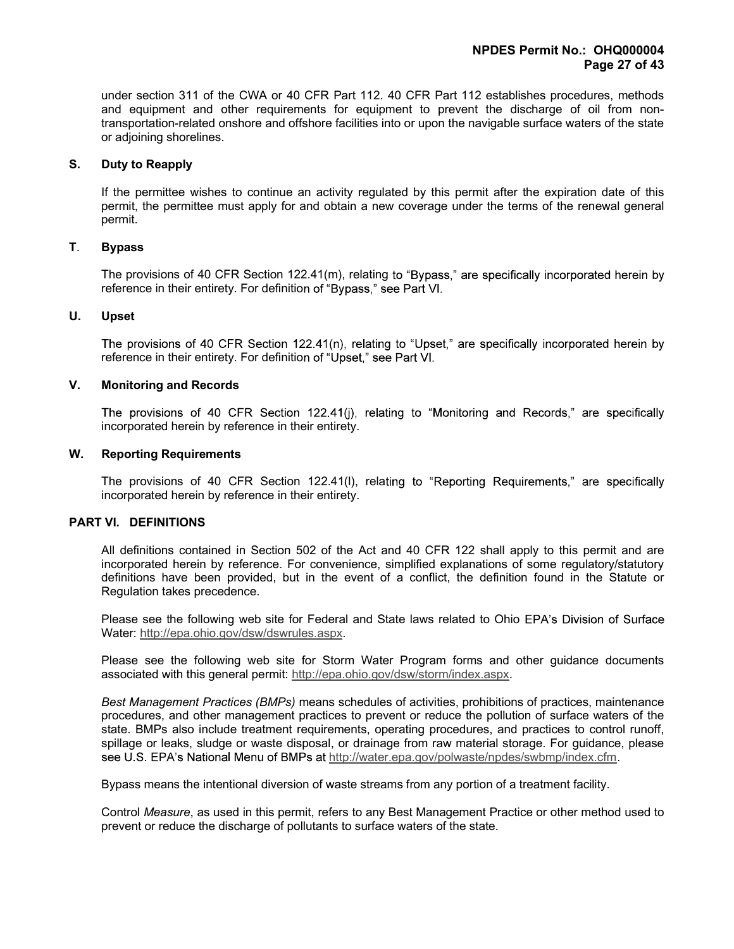under section 311 of the CWA or 40 CFR Part 112. 40 CFR Part 112 establishes procedures, methods and equipment and other requirements for equipment to prevent the discharge of oil from nontransportation-related onshore and offshore facilities into or upon the navigable surface waters of the state or adjoining shorelines.

### S. Duty to Reapply

 If the permittee wishes to continue an activity regulated by this permit after the expiration date of this permit, the permittee must apply for and obtain a new coverage under the terms of the renewal general permit.

### T. Bypass

The provisions of 40 CFR Section  $122.41(m)$ , relating to "Bypass," are specifically incorporated herein by reference in their entirety. For definition of "Bypass," see Part VI.

## U. Upset

The provisions of 40 CFR Section 122.41(n), relating to "Upset," are specifically incorporated herein by reference in their entirety. For definition of "Upset," see Part VI.

# V. Monitoring and Records

The provisions of 40 CFR Section 122.41(j), relating to "Monitoring and Records," are specifically incorporated herein by reference in their entirety.

### W. Reporting Requirements

The provisions of 40 CFR Section 122.41(I), relating to "Reporting Requirements," are specifically incorporated herein by reference in their entirety.

## PART VI. DEFINITIONS

 All definitions contained in Section 502 of the Act and 40 CFR 122 shall apply to this permit and are incorporated herein by reference. For convenience, simplified explanations of some regulatory/statutory definitions have been provided, but in the event of a conflict, the definition found in the Statute or Regulation takes precedence.

Please see the following web site for Federal and State laws related to Ohio EPA's Division of Surface Water: http://epa.ohio.gov/dsw/dswrules.aspx.

 Please see the following web site for Storm Water Program forms and other guidance documents associated with this general permit: http://epa.ohio.gov/dsw/storm/index.aspx.

Best Management Practices (BMPs) means schedules of activities, prohibitions of practices, maintenance procedures, and other management practices to prevent or reduce the pollution of surface waters of the state. BMPs also include treatment requirements, operating procedures, and practices to control runoff, spillage or leaks, sludge or waste disposal, or drainage from raw material storage. For guidance, please see U.S. EPA's National Menu of BMPs at http://water.epa.gov/polwaste/npdes/swbmp/index.cfm.

Bypass means the intentional diversion of waste streams from any portion of a treatment facility.

 Control Measure, as used in this permit, refers to any Best Management Practice or other method used to prevent or reduce the discharge of pollutants to surface waters of the state.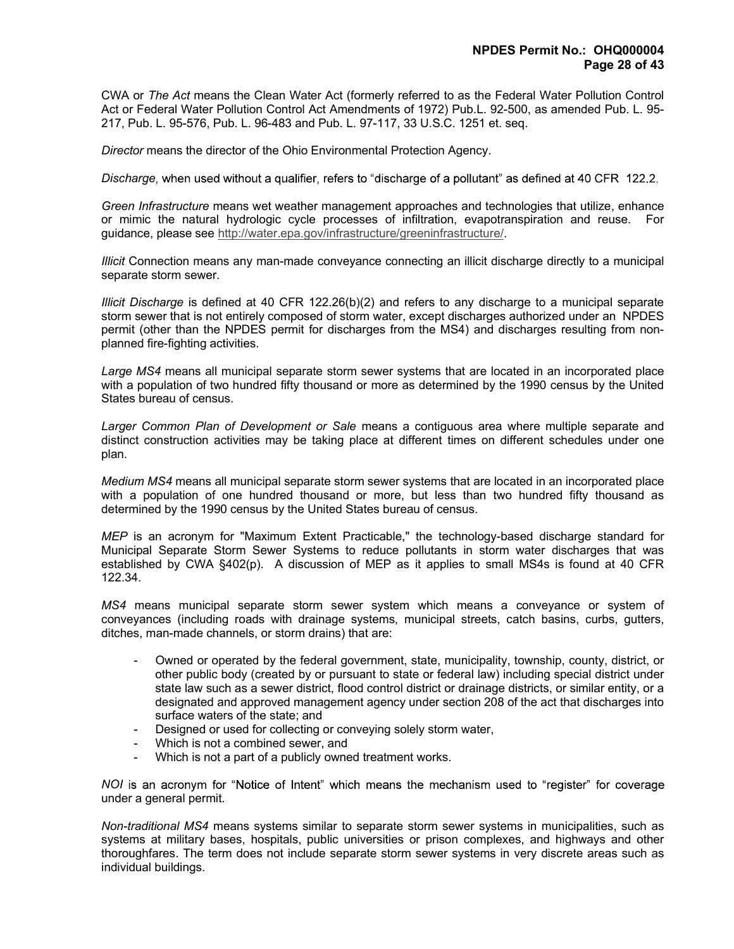CWA or The Act means the Clean Water Act (formerly referred to as the Federal Water Pollution Control Act or Federal Water Pollution Control Act Amendments of 1972) Pub.L. 92-500, as amended Pub. L. 95- 217, Pub. L. 95-576, Pub. L. 96-483 and Pub. L. 97-117, 33 U.S.C. 1251 et. seq.

Director means the director of the Ohio Environmental Protection Agency.

Discharge, when used without a qualifier, refers to "discharge of a pollutant" as defined at 40 CFR 122.2.

Green Infrastructure means wet weather management approaches and technologies that utilize, enhance or mimic the natural hydrologic cycle processes of infiltration, evapotranspiration and reuse. For guidance, please see http://water.epa.gov/infrastructure/greeninfrastructure/.

Illicit Connection means any man-made conveyance connecting an illicit discharge directly to a municipal separate storm sewer.

Illicit Discharge is defined at 40 CFR 122.26(b)(2) and refers to any discharge to a municipal separate storm sewer that is not entirely composed of storm water, except discharges authorized under an NPDES permit (other than the NPDES permit for discharges from the MS4) and discharges resulting from nonplanned fire-fighting activities.

Large MS4 means all municipal separate storm sewer systems that are located in an incorporated place with a population of two hundred fifty thousand or more as determined by the 1990 census by the United States bureau of census.

Larger Common Plan of Development or Sale means a contiguous area where multiple separate and distinct construction activities may be taking place at different times on different schedules under one plan.

Medium MS4 means all municipal separate storm sewer systems that are located in an incorporated place with a population of one hundred thousand or more, but less than two hundred fifty thousand as determined by the 1990 census by the United States bureau of census.

MEP is an acronym for "Maximum Extent Practicable," the technology-based discharge standard for Municipal Separate Storm Sewer Systems to reduce pollutants in storm water discharges that was established by CWA §402(p). A discussion of MEP as it applies to small MS4s is found at 40 CFR 122.34.

MS4 means municipal separate storm sewer system which means a conveyance or system of conveyances (including roads with drainage systems, municipal streets, catch basins, curbs, gutters, ditches, man-made channels, or storm drains) that are:

- Owned or operated by the federal government, state, municipality, township, county, district, or other public body (created by or pursuant to state or federal law) including special district under state law such as a sewer district, flood control district or drainage districts, or similar entity, or a designated and approved management agency under section 208 of the act that discharges into surface waters of the state; and
- Designed or used for collecting or conveying solely storm water,
- Which is not a combined sewer, and
- Which is not a part of a publicly owned treatment works.

NOI is an acronym for "Notice of Intent" which means the mechanism used to "register" for coverage under a general permit.

Non-traditional MS4 means systems similar to separate storm sewer systems in municipalities, such as systems at military bases, hospitals, public universities or prison complexes, and highways and other thoroughfares. The term does not include separate storm sewer systems in very discrete areas such as individual buildings.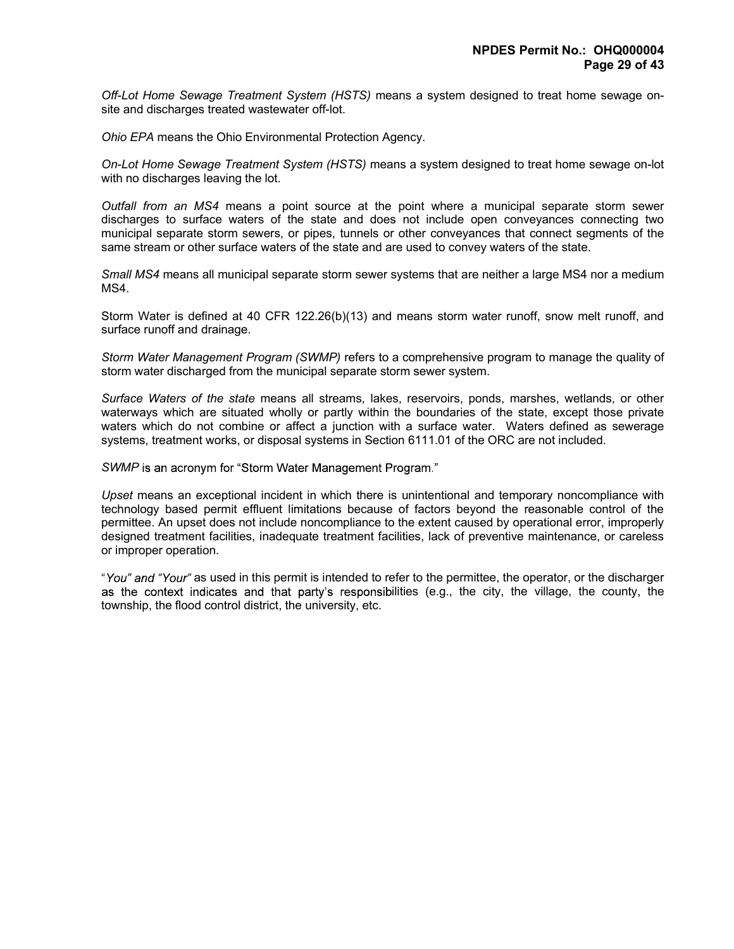Off-Lot Home Sewage Treatment System (HSTS) means a system designed to treat home sewage onsite and discharges treated wastewater off-lot.

Ohio EPA means the Ohio Environmental Protection Agency.

On-Lot Home Sewage Treatment System (HSTS) means a system designed to treat home sewage on-lot with no discharges leaving the lot.

Outfall from an MS4 means a point source at the point where a municipal separate storm sewer discharges to surface waters of the state and does not include open conveyances connecting two municipal separate storm sewers, or pipes, tunnels or other conveyances that connect segments of the same stream or other surface waters of the state and are used to convey waters of the state.

Small MS4 means all municipal separate storm sewer systems that are neither a large MS4 nor a medium MS4.

 Storm Water is defined at 40 CFR 122.26(b)(13) and means storm water runoff, snow melt runoff, and surface runoff and drainage.

Storm Water Management Program (SWMP) refers to a comprehensive program to manage the quality of storm water discharged from the municipal separate storm sewer system.

Surface Waters of the state means all streams, lakes, reservoirs, ponds, marshes, wetlands, or other waterways which are situated wholly or partly within the boundaries of the state, except those private waters which do not combine or affect a junction with a surface water. Waters defined as sewerage systems, treatment works, or disposal systems in Section 6111.01 of the ORC are not included.

SWMP is an acronym for "Storm Water Management Program."

Upset means an exceptional incident in which there is unintentional and temporary noncompliance with technology based permit effluent limitations because of factors beyond the reasonable control of the permittee. An upset does not include noncompliance to the extent caused by operational error, improperly designed treatment facilities, inadequate treatment facilities, lack of preventive maintenance, or careless or improper operation.

"You" and "Your" as used in this permit is intended to refer to the permittee, the operator, or the discharger as the context indicates and that party's responsibilities (e.g., the city, the village, the county, the township, the flood control district, the university, etc.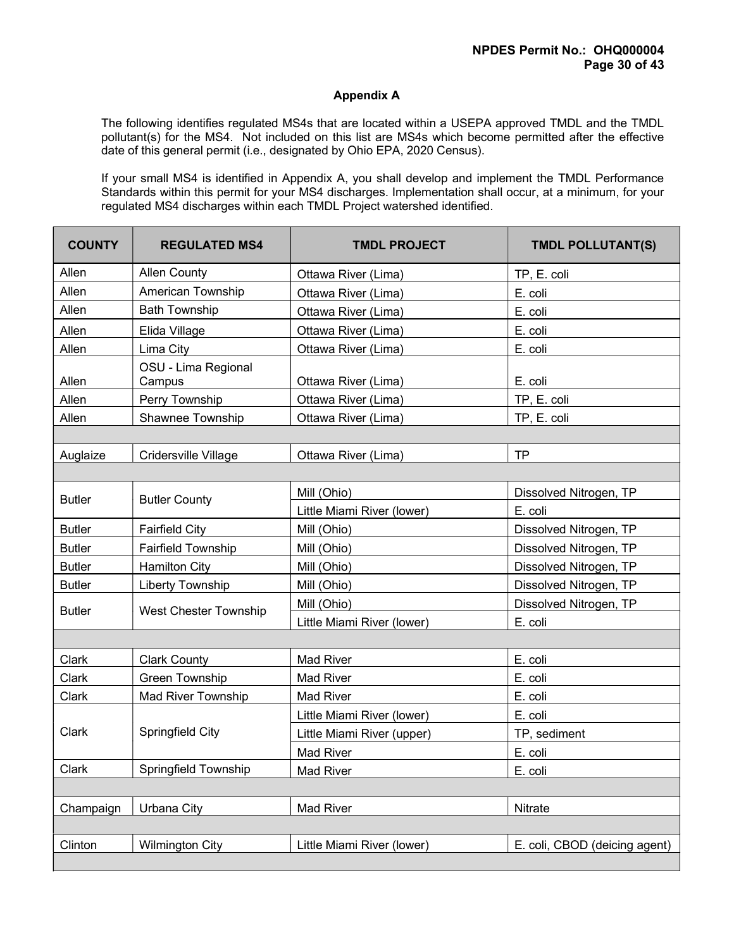# Appendix A

 The following identifies regulated MS4s that are located within a USEPA approved TMDL and the TMDL pollutant(s) for the MS4. Not included on this list are MS4s which become permitted after the effective date of this general permit (i.e., designated by Ohio EPA, 2020 Census).

If your small MS4 is identified in Appendix A, you shall develop and implement the TMDL Performance Standards within this permit for your MS4 discharges. Implementation shall occur, at a minimum, for your regulated MS4 discharges within each TMDL Project watershed identified.

| <b>COUNTY</b> | <b>REGULATED MS4</b>          | <b>TMDL PROJECT</b>        | <b>TMDL POLLUTANT(S)</b>      |
|---------------|-------------------------------|----------------------------|-------------------------------|
| Allen         | <b>Allen County</b>           | Ottawa River (Lima)        | TP, E. coli                   |
| Allen         | American Township             | Ottawa River (Lima)        | E. coli                       |
| Allen         | <b>Bath Township</b>          | Ottawa River (Lima)        | E. coli                       |
| Allen         | Elida Village                 | Ottawa River (Lima)        | E. coli                       |
| Allen         | Lima City                     | Ottawa River (Lima)        | E. coli                       |
| Allen         | OSU - Lima Regional<br>Campus | Ottawa River (Lima)        | E. coli                       |
| Allen         | Perry Township                | Ottawa River (Lima)        | TP, E. coli                   |
| Allen         | Shawnee Township              | Ottawa River (Lima)        | TP, E. coli                   |
|               |                               |                            |                               |
| Auglaize      | Cridersville Village          | Ottawa River (Lima)        | <b>TP</b>                     |
|               |                               |                            |                               |
| <b>Butler</b> | <b>Butler County</b>          | Mill (Ohio)                | Dissolved Nitrogen, TP        |
|               |                               | Little Miami River (lower) | E. coli                       |
| <b>Butler</b> | <b>Fairfield City</b>         | Mill (Ohio)                | Dissolved Nitrogen, TP        |
| <b>Butler</b> | <b>Fairfield Township</b>     | Mill (Ohio)                | Dissolved Nitrogen, TP        |
| <b>Butler</b> | <b>Hamilton City</b>          | Mill (Ohio)                | Dissolved Nitrogen, TP        |
| <b>Butler</b> | <b>Liberty Township</b>       | Mill (Ohio)                | Dissolved Nitrogen, TP        |
| <b>Butler</b> | <b>West Chester Township</b>  | Mill (Ohio)                | Dissolved Nitrogen, TP        |
|               |                               | Little Miami River (lower) | E. coli                       |
|               |                               |                            |                               |
| Clark         | <b>Clark County</b>           | <b>Mad River</b>           | E. coli                       |
| Clark         | <b>Green Township</b>         | <b>Mad River</b>           | E. coli                       |
| Clark         | Mad River Township            | <b>Mad River</b>           | E. coli                       |
|               |                               | Little Miami River (lower) | E. coli                       |
| Clark         | Springfield City              | Little Miami River (upper) | TP, sediment                  |
|               |                               | <b>Mad River</b>           | E. coli                       |
| Clark         | Springfield Township          | Mad River                  | E. coli                       |
|               |                               |                            |                               |
| Champaign     | Urbana City                   | Mad River                  | Nitrate                       |
|               |                               |                            |                               |
| Clinton       | <b>Wilmington City</b>        | Little Miami River (lower) | E. coli, CBOD (deicing agent) |
|               |                               |                            |                               |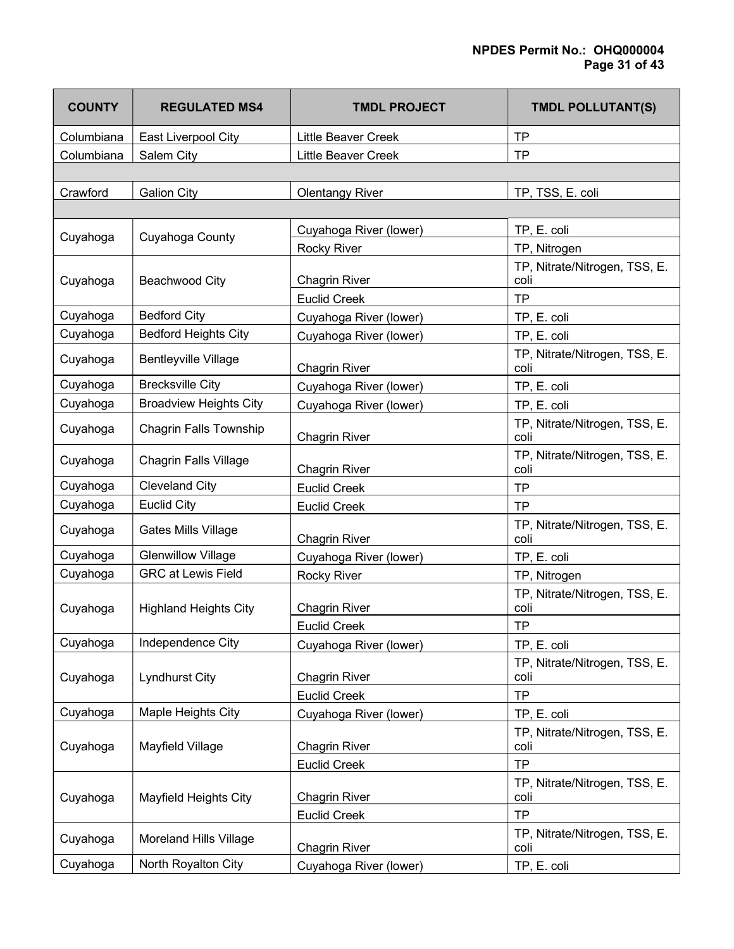| <b>COUNTY</b> | <b>REGULATED MS4</b>          | <b>TMDL PROJECT</b>        | <b>TMDL POLLUTANT(S)</b>              |
|---------------|-------------------------------|----------------------------|---------------------------------------|
| Columbiana    | East Liverpool City           | <b>Little Beaver Creek</b> | <b>TP</b>                             |
| Columbiana    | Salem City                    | Little Beaver Creek        | <b>TP</b>                             |
|               |                               |                            |                                       |
| Crawford      | <b>Galion City</b>            | <b>Olentangy River</b>     | TP, TSS, E. coli                      |
|               |                               |                            |                                       |
|               |                               | Cuyahoga River (lower)     | TP, E. coli                           |
| Cuyahoga      | Cuyahoga County               | <b>Rocky River</b>         | TP, Nitrogen                          |
| Cuyahoga      | Beachwood City                | <b>Chagrin River</b>       | TP, Nitrate/Nitrogen, TSS, E.<br>coli |
|               |                               | <b>Euclid Creek</b>        | <b>TP</b>                             |
| Cuyahoga      | <b>Bedford City</b>           | Cuyahoga River (lower)     | TP, E. coli                           |
| Cuyahoga      | <b>Bedford Heights City</b>   | Cuyahoga River (lower)     | TP, E. coli                           |
| Cuyahoga      | <b>Bentleyville Village</b>   | <b>Chagrin River</b>       | TP, Nitrate/Nitrogen, TSS, E.<br>coli |
| Cuyahoga      | <b>Brecksville City</b>       | Cuyahoga River (lower)     | TP, E. coli                           |
| Cuyahoga      | <b>Broadview Heights City</b> | Cuyahoga River (lower)     | TP, E. coli                           |
| Cuyahoga      | <b>Chagrin Falls Township</b> | <b>Chagrin River</b>       | TP, Nitrate/Nitrogen, TSS, E.<br>coli |
| Cuyahoga      | <b>Chagrin Falls Village</b>  | <b>Chagrin River</b>       | TP, Nitrate/Nitrogen, TSS, E.<br>coli |
| Cuyahoga      | <b>Cleveland City</b>         | <b>Euclid Creek</b>        | <b>TP</b>                             |
| Cuyahoga      | <b>Euclid City</b>            | <b>Euclid Creek</b>        | <b>TP</b>                             |
| Cuyahoga      | Gates Mills Village           | <b>Chagrin River</b>       | TP, Nitrate/Nitrogen, TSS, E.<br>coli |
| Cuyahoga      | <b>Glenwillow Village</b>     | Cuyahoga River (lower)     | TP, E. coli                           |
| Cuyahoga      | <b>GRC at Lewis Field</b>     | Rocky River                | TP, Nitrogen                          |
| Cuyahoga      | <b>Highland Heights City</b>  | <b>Chagrin River</b>       | TP, Nitrate/Nitrogen, TSS, E.<br>coli |
|               |                               | <b>Euclid Creek</b>        | <b>TP</b>                             |
| Cuyahoga      | Independence City             | Cuyahoga River (lower)     | TP, E. coli                           |
| Cuyahoga      | <b>Lyndhurst City</b>         | <b>Chagrin River</b>       | TP, Nitrate/Nitrogen, TSS, E.<br>coli |
|               |                               | <b>Euclid Creek</b>        | <b>TP</b>                             |
| Cuyahoga      | Maple Heights City            | Cuyahoga River (lower)     | TP, E. coli                           |
| Cuyahoga      | Mayfield Village              | <b>Chagrin River</b>       | TP, Nitrate/Nitrogen, TSS, E.<br>coli |
|               |                               | <b>Euclid Creek</b>        | <b>TP</b>                             |
| Cuyahoga      | Mayfield Heights City         | <b>Chagrin River</b>       | TP, Nitrate/Nitrogen, TSS, E.<br>coli |
|               |                               | <b>Euclid Creek</b>        | <b>TP</b>                             |
| Cuyahoga      | Moreland Hills Village        | <b>Chagrin River</b>       | TP, Nitrate/Nitrogen, TSS, E.<br>coli |
| Cuyahoga      | North Royalton City           | Cuyahoga River (lower)     | TP, E. coli                           |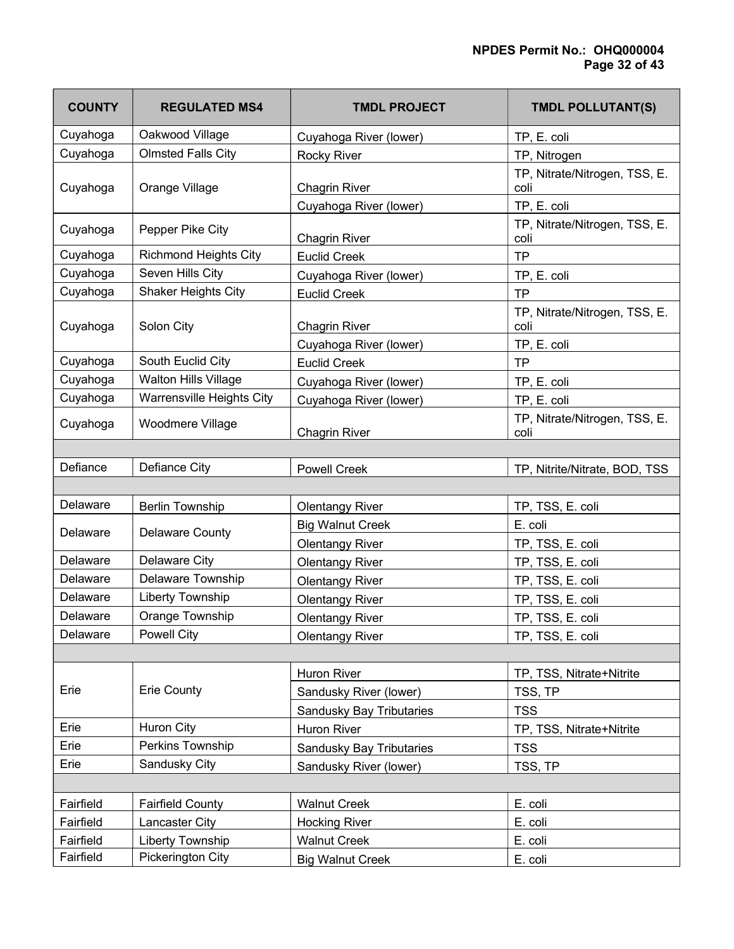| <b>COUNTY</b> | <b>REGULATED MS4</b>         | <b>TMDL PROJECT</b>      | <b>TMDL POLLUTANT(S)</b>              |
|---------------|------------------------------|--------------------------|---------------------------------------|
| Cuyahoga      | Oakwood Village              | Cuyahoga River (lower)   | TP, E. coli                           |
| Cuyahoga      | <b>Olmsted Falls City</b>    | <b>Rocky River</b>       | TP, Nitrogen                          |
| Cuyahoga      | Orange Village               | <b>Chagrin River</b>     | TP, Nitrate/Nitrogen, TSS, E.<br>coli |
|               |                              | Cuyahoga River (lower)   | TP, E. coli                           |
| Cuyahoga      | Pepper Pike City             | <b>Chagrin River</b>     | TP, Nitrate/Nitrogen, TSS, E.<br>coli |
| Cuyahoga      | <b>Richmond Heights City</b> | <b>Euclid Creek</b>      | <b>TP</b>                             |
| Cuyahoga      | Seven Hills City             | Cuyahoga River (lower)   | TP, E. coli                           |
| Cuyahoga      | <b>Shaker Heights City</b>   | <b>Euclid Creek</b>      | <b>TP</b>                             |
| Cuyahoga      | Solon City                   | <b>Chagrin River</b>     | TP, Nitrate/Nitrogen, TSS, E.<br>coli |
|               |                              | Cuyahoga River (lower)   | TP, E. coli                           |
| Cuyahoga      | South Euclid City            | <b>Euclid Creek</b>      | <b>TP</b>                             |
| Cuyahoga      | Walton Hills Village         | Cuyahoga River (lower)   | TP, E. coli                           |
| Cuyahoga      | Warrensville Heights City    | Cuyahoga River (lower)   | TP, E. coli                           |
| Cuyahoga      | Woodmere Village             | <b>Chagrin River</b>     | TP, Nitrate/Nitrogen, TSS, E.<br>coli |
|               |                              |                          |                                       |
| Defiance      | Defiance City                | <b>Powell Creek</b>      | TP, Nitrite/Nitrate, BOD, TSS         |
|               |                              |                          |                                       |
| Delaware      | <b>Berlin Township</b>       | <b>Olentangy River</b>   | TP, TSS, E. coli                      |
| Delaware      | <b>Delaware County</b>       | <b>Big Walnut Creek</b>  | E. coli                               |
|               |                              | <b>Olentangy River</b>   | TP, TSS, E. coli                      |
| Delaware      | <b>Delaware City</b>         | <b>Olentangy River</b>   | TP, TSS, E. coli                      |
| Delaware      | Delaware Township            | <b>Olentangy River</b>   | TP, TSS, E. coli                      |
| Delaware      | <b>Liberty Township</b>      | <b>Olentangy River</b>   | TP, TSS, E. coli                      |
| Delaware      | Orange Township              | <b>Olentangy River</b>   | TP, TSS, E. coli                      |
| Delaware      | Powell City                  | <b>Olentangy River</b>   | TP, TSS, E. coli                      |
|               |                              |                          |                                       |
|               |                              | <b>Huron River</b>       | TP, TSS, Nitrate+Nitrite              |
| Erie          | <b>Erie County</b>           | Sandusky River (lower)   | TSS, TP                               |
|               |                              | Sandusky Bay Tributaries | <b>TSS</b>                            |
| Erie          | <b>Huron City</b>            | Huron River              | TP, TSS, Nitrate+Nitrite              |
| Erie          | Perkins Township             | Sandusky Bay Tributaries | <b>TSS</b>                            |
| Erie          | Sandusky City                | Sandusky River (lower)   | TSS, TP                               |
|               |                              |                          |                                       |
| Fairfield     | <b>Fairfield County</b>      | <b>Walnut Creek</b>      | E. coli                               |
| Fairfield     | Lancaster City               | <b>Hocking River</b>     | E. coli                               |
| Fairfield     | Liberty Township             | <b>Walnut Creek</b>      | E. coli                               |
| Fairfield     | Pickerington City            | <b>Big Walnut Creek</b>  | E. coli                               |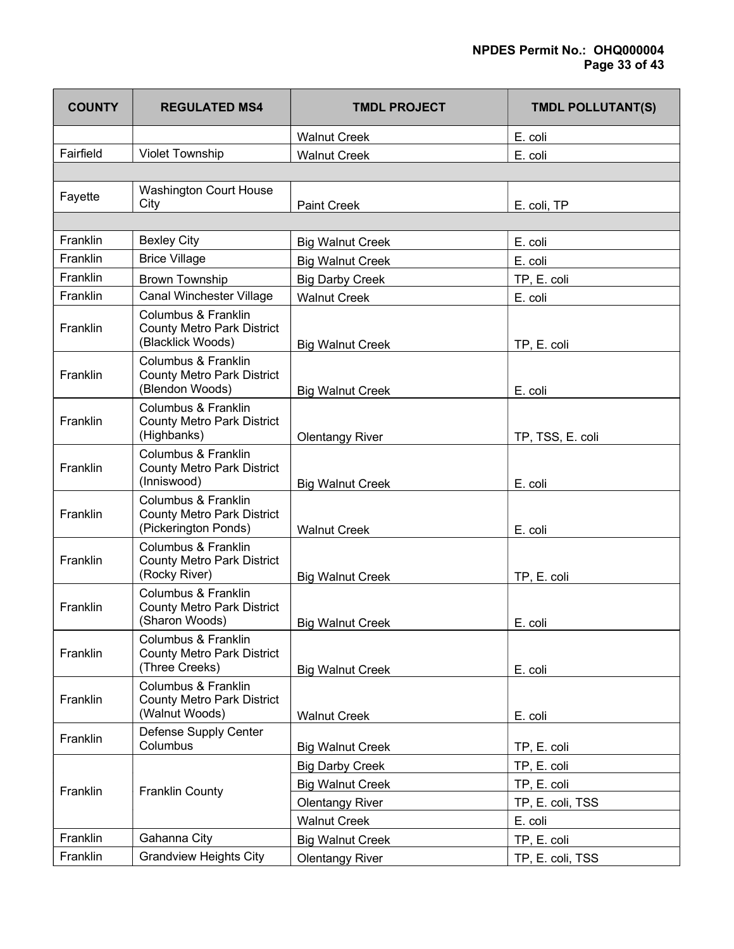# NPDES Permit No.: OHQ000004 Page 33 of 43

| <b>COUNTY</b> | <b>REGULATED MS4</b>                                                             | <b>TMDL PROJECT</b>     | <b>TMDL POLLUTANT(S)</b> |
|---------------|----------------------------------------------------------------------------------|-------------------------|--------------------------|
|               |                                                                                  | <b>Walnut Creek</b>     | E. coli                  |
| Fairfield     | <b>Violet Township</b>                                                           | <b>Walnut Creek</b>     | E. coli                  |
|               |                                                                                  |                         |                          |
| Fayette       | <b>Washington Court House</b><br>City                                            | <b>Paint Creek</b>      | E. coli, TP              |
|               |                                                                                  |                         |                          |
| Franklin      | <b>Bexley City</b>                                                               | <b>Big Walnut Creek</b> | E. coli                  |
| Franklin      | <b>Brice Village</b>                                                             | <b>Big Walnut Creek</b> | E. coli                  |
| Franklin      | <b>Brown Township</b>                                                            | <b>Big Darby Creek</b>  | TP, E. coli              |
| Franklin      | Canal Winchester Village                                                         | <b>Walnut Creek</b>     | E. coli                  |
| Franklin      | Columbus & Franklin<br><b>County Metro Park District</b><br>(Blacklick Woods)    | <b>Big Walnut Creek</b> | TP, E. coli              |
| Franklin      | Columbus & Franklin<br><b>County Metro Park District</b><br>(Blendon Woods)      | <b>Big Walnut Creek</b> | E. coli                  |
| Franklin      | Columbus & Franklin<br><b>County Metro Park District</b><br>(Highbanks)          | <b>Olentangy River</b>  | TP, TSS, E. coli         |
| Franklin      | Columbus & Franklin<br><b>County Metro Park District</b><br>(Inniswood)          | <b>Big Walnut Creek</b> | E. coli                  |
| Franklin      | Columbus & Franklin<br><b>County Metro Park District</b><br>(Pickerington Ponds) | <b>Walnut Creek</b>     | E. coli                  |
| Franklin      | Columbus & Franklin<br><b>County Metro Park District</b><br>(Rocky River)        | <b>Big Walnut Creek</b> | TP, E. coli              |
| Franklin      | Columbus & Franklin<br><b>County Metro Park District</b><br>(Sharon Woods)       | <b>Big Walnut Creek</b> | E. coli                  |
| Franklin      | Columbus & Franklin<br><b>County Metro Park District</b><br>(Three Creeks)       | <b>Big Walnut Creek</b> | E. coli                  |
| Franklin      | Columbus & Franklin<br><b>County Metro Park District</b><br>(Walnut Woods)       | <b>Walnut Creek</b>     | E. coli                  |
| Franklin      | Defense Supply Center<br>Columbus                                                | <b>Big Walnut Creek</b> | TP, E. coli              |
|               |                                                                                  | <b>Big Darby Creek</b>  | TP, E. coli              |
| Franklin      |                                                                                  | <b>Big Walnut Creek</b> | TP, E. coli              |
|               | <b>Franklin County</b>                                                           | <b>Olentangy River</b>  | TP, E. coli, TSS         |
|               |                                                                                  | <b>Walnut Creek</b>     | E. coli                  |
| Franklin      | Gahanna City                                                                     | <b>Big Walnut Creek</b> | TP, E. coli              |
| Franklin      | <b>Grandview Heights City</b>                                                    | <b>Olentangy River</b>  | TP, E. coli, TSS         |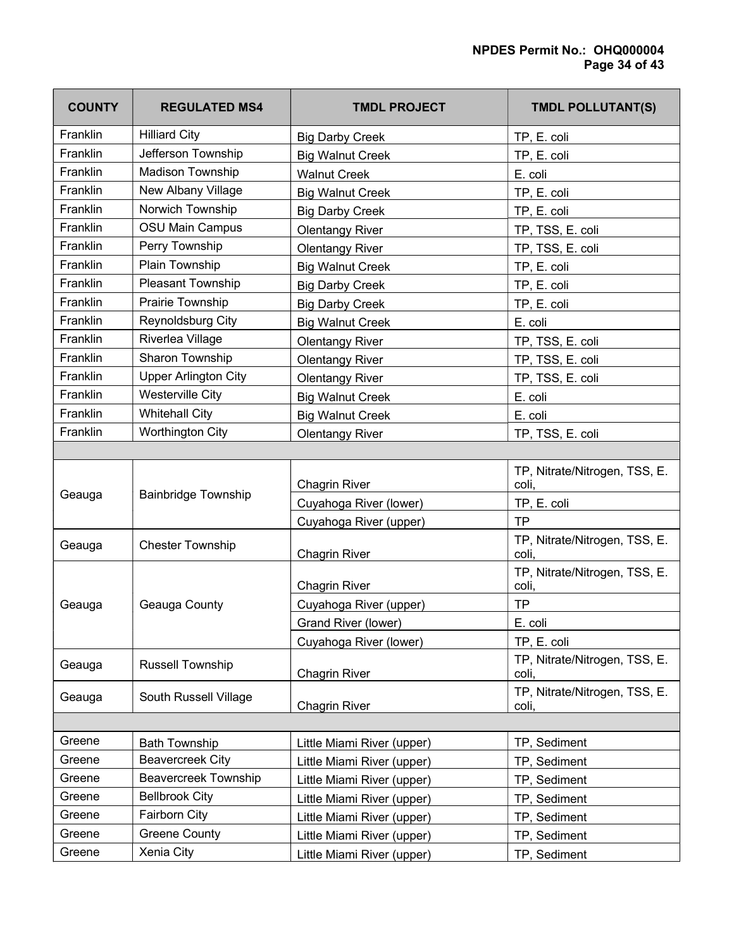| <b>COUNTY</b> | <b>REGULATED MS4</b>        | <b>TMDL PROJECT</b>        | <b>TMDL POLLUTANT(S)</b>               |
|---------------|-----------------------------|----------------------------|----------------------------------------|
| Franklin      | <b>Hilliard City</b>        | <b>Big Darby Creek</b>     | TP, E. coli                            |
| Franklin      | Jefferson Township          | <b>Big Walnut Creek</b>    | TP, E. coli                            |
| Franklin      | Madison Township            | <b>Walnut Creek</b>        | E. coli                                |
| Franklin      | New Albany Village          | <b>Big Walnut Creek</b>    | TP, E. coli                            |
| Franklin      | Norwich Township            | <b>Big Darby Creek</b>     | TP, E. coli                            |
| Franklin      | <b>OSU Main Campus</b>      | <b>Olentangy River</b>     | TP, TSS, E. coli                       |
| Franklin      | Perry Township              | <b>Olentangy River</b>     | TP, TSS, E. coli                       |
| Franklin      | Plain Township              | <b>Big Walnut Creek</b>    | TP, E. coli                            |
| Franklin      | Pleasant Township           | <b>Big Darby Creek</b>     | TP, E. coli                            |
| Franklin      | Prairie Township            | <b>Big Darby Creek</b>     | TP, E. coli                            |
| Franklin      | Reynoldsburg City           | <b>Big Walnut Creek</b>    | E. coli                                |
| Franklin      | Riverlea Village            | <b>Olentangy River</b>     | TP, TSS, E. coli                       |
| Franklin      | Sharon Township             | <b>Olentangy River</b>     | TP, TSS, E. coli                       |
| Franklin      | <b>Upper Arlington City</b> | <b>Olentangy River</b>     | TP, TSS, E. coli                       |
| Franklin      | <b>Westerville City</b>     | <b>Big Walnut Creek</b>    | E. coli                                |
| Franklin      | <b>Whitehall City</b>       | <b>Big Walnut Creek</b>    | E. coli                                |
| Franklin      | Worthington City            | <b>Olentangy River</b>     | TP, TSS, E. coli                       |
|               |                             |                            |                                        |
|               |                             | <b>Chagrin River</b>       | TP, Nitrate/Nitrogen, TSS, E.<br>coli, |
| Geauga        | <b>Bainbridge Township</b>  | Cuyahoga River (lower)     | TP, E. coli                            |
|               |                             | Cuyahoga River (upper)     | <b>TP</b>                              |
| Geauga        | <b>Chester Township</b>     | <b>Chagrin River</b>       | TP, Nitrate/Nitrogen, TSS, E.<br>coli. |
|               |                             | <b>Chagrin River</b>       | TP, Nitrate/Nitrogen, TSS, E.<br>coli, |
| Geauga        | Geauga County               | Cuyahoga River (upper)     | <b>TP</b>                              |
|               |                             | Grand River (lower)        | E. coli                                |
|               |                             | Cuyahoga River (lower)     | TP, E. coli                            |
| Geauga        | <b>Russell Township</b>     | <b>Chagrin River</b>       | TP, Nitrate/Nitrogen, TSS, E.<br>coli, |
| Geauga        | South Russell Village       | <b>Chagrin River</b>       | TP, Nitrate/Nitrogen, TSS, E.<br>coli, |
|               |                             |                            |                                        |
| Greene        | <b>Bath Township</b>        | Little Miami River (upper) | TP, Sediment                           |
| Greene        | <b>Beavercreek City</b>     | Little Miami River (upper) | TP, Sediment                           |
| Greene        | <b>Beavercreek Township</b> | Little Miami River (upper) | TP, Sediment                           |
| Greene        | <b>Bellbrook City</b>       | Little Miami River (upper) | TP, Sediment                           |
| Greene        | Fairborn City               | Little Miami River (upper) | TP, Sediment                           |
| Greene        | <b>Greene County</b>        | Little Miami River (upper) | TP, Sediment                           |
| Greene        | Xenia City                  | Little Miami River (upper) | TP, Sediment                           |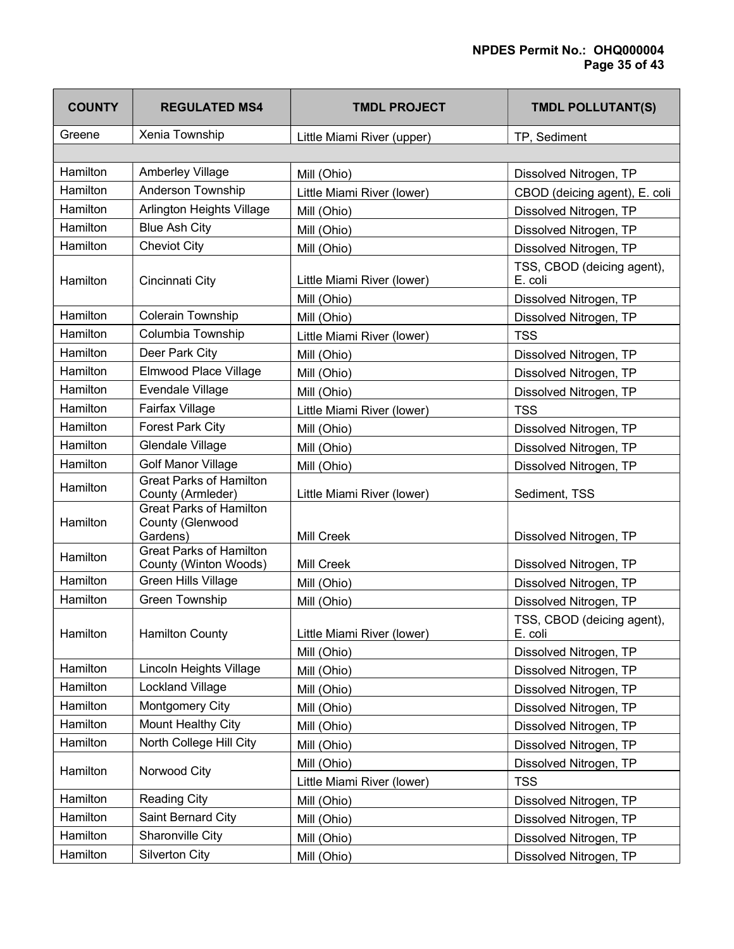| <b>COUNTY</b> | <b>REGULATED MS4</b>                                           | <b>TMDL PROJECT</b>        | <b>TMDL POLLUTANT(S)</b>              |
|---------------|----------------------------------------------------------------|----------------------------|---------------------------------------|
| Greene        | Xenia Township                                                 | Little Miami River (upper) | TP, Sediment                          |
|               |                                                                |                            |                                       |
| Hamilton      | Amberley Village                                               | Mill (Ohio)                | Dissolved Nitrogen, TP                |
| Hamilton      | Anderson Township                                              | Little Miami River (lower) | CBOD (deicing agent), E. coli         |
| Hamilton      | Arlington Heights Village                                      | Mill (Ohio)                | Dissolved Nitrogen, TP                |
| Hamilton      | <b>Blue Ash City</b>                                           | Mill (Ohio)                | Dissolved Nitrogen, TP                |
| Hamilton      | <b>Cheviot City</b>                                            | Mill (Ohio)                | Dissolved Nitrogen, TP                |
| Hamilton      | Cincinnati City                                                | Little Miami River (lower) | TSS, CBOD (deicing agent),<br>E. coli |
|               |                                                                | Mill (Ohio)                | Dissolved Nitrogen, TP                |
| Hamilton      | Colerain Township                                              | Mill (Ohio)                | Dissolved Nitrogen, TP                |
| Hamilton      | Columbia Township                                              | Little Miami River (lower) | <b>TSS</b>                            |
| Hamilton      | Deer Park City                                                 | Mill (Ohio)                | Dissolved Nitrogen, TP                |
| Hamilton      | Elmwood Place Village                                          | Mill (Ohio)                | Dissolved Nitrogen, TP                |
| Hamilton      | Evendale Village                                               | Mill (Ohio)                | Dissolved Nitrogen, TP                |
| Hamilton      | Fairfax Village                                                | Little Miami River (lower) | <b>TSS</b>                            |
| Hamilton      | <b>Forest Park City</b>                                        | Mill (Ohio)                | Dissolved Nitrogen, TP                |
| Hamilton      | Glendale Village                                               | Mill (Ohio)                | Dissolved Nitrogen, TP                |
| Hamilton      | <b>Golf Manor Village</b>                                      | Mill (Ohio)                | Dissolved Nitrogen, TP                |
| Hamilton      | <b>Great Parks of Hamilton</b><br>County (Armleder)            | Little Miami River (lower) | Sediment, TSS                         |
| Hamilton      | <b>Great Parks of Hamilton</b><br>County (Glenwood<br>Gardens) | <b>Mill Creek</b>          | Dissolved Nitrogen, TP                |
| Hamilton      | <b>Great Parks of Hamilton</b><br>County (Winton Woods)        | Mill Creek                 | Dissolved Nitrogen, TP                |
| Hamilton      | <b>Green Hills Village</b>                                     | Mill (Ohio)                | Dissolved Nitrogen, TP                |
| Hamilton      | <b>Green Township</b>                                          | Mill (Ohio)                | Dissolved Nitrogen, TP                |
| Hamilton      | <b>Hamilton County</b>                                         | Little Miami River (lower) | TSS, CBOD (deicing agent),<br>E. coli |
|               |                                                                | Mill (Ohio)                | Dissolved Nitrogen, TP                |
| Hamilton      | Lincoln Heights Village                                        | Mill (Ohio)                | Dissolved Nitrogen, TP                |
| Hamilton      | Lockland Village                                               | Mill (Ohio)                | Dissolved Nitrogen, TP                |
| Hamilton      | Montgomery City                                                | Mill (Ohio)                | Dissolved Nitrogen, TP                |
| Hamilton      | Mount Healthy City                                             | Mill (Ohio)                | Dissolved Nitrogen, TP                |
| Hamilton      | North College Hill City                                        | Mill (Ohio)                | Dissolved Nitrogen, TP                |
| Hamilton      | Norwood City                                                   | Mill (Ohio)                | Dissolved Nitrogen, TP                |
|               |                                                                | Little Miami River (lower) | <b>TSS</b>                            |
| Hamilton      | <b>Reading City</b>                                            | Mill (Ohio)                | Dissolved Nitrogen, TP                |
| Hamilton      | Saint Bernard City                                             | Mill (Ohio)                | Dissolved Nitrogen, TP                |
| Hamilton      | Sharonville City                                               | Mill (Ohio)                | Dissolved Nitrogen, TP                |
| Hamilton      | <b>Silverton City</b>                                          | Mill (Ohio)                | Dissolved Nitrogen, TP                |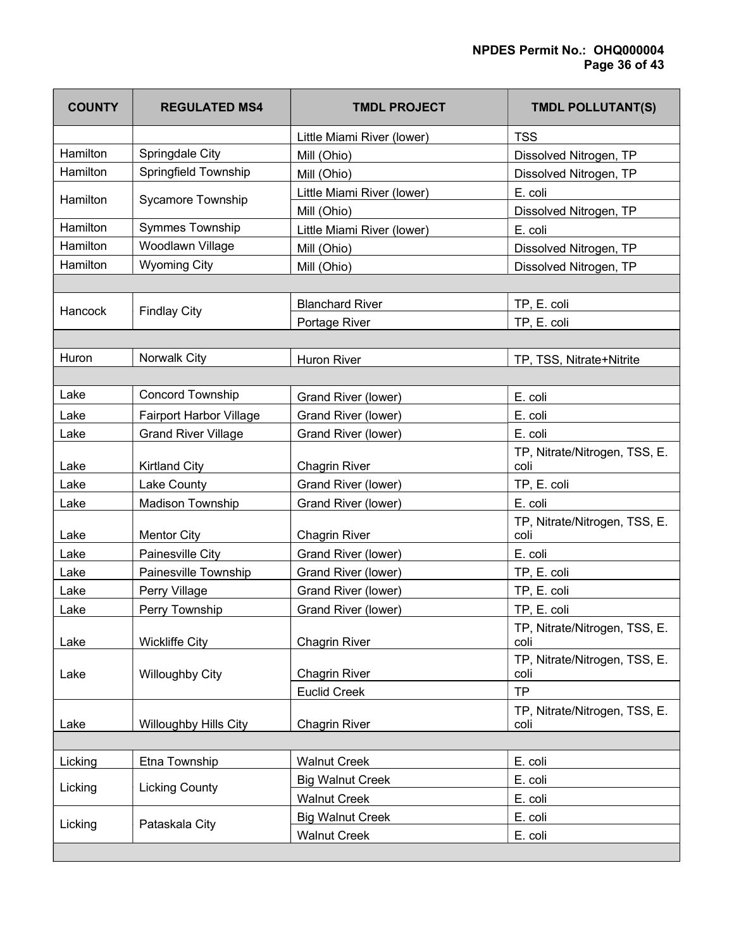| <b>COUNTY</b> | <b>REGULATED MS4</b>         | <b>TMDL PROJECT</b>        | <b>TMDL POLLUTANT(S)</b>              |
|---------------|------------------------------|----------------------------|---------------------------------------|
|               |                              | Little Miami River (lower) | <b>TSS</b>                            |
| Hamilton      | Springdale City              | Mill (Ohio)                | Dissolved Nitrogen, TP                |
| Hamilton      | Springfield Township         | Mill (Ohio)                | Dissolved Nitrogen, TP                |
| Hamilton      | Sycamore Township            | Little Miami River (lower) | E. coli                               |
|               |                              | Mill (Ohio)                | Dissolved Nitrogen, TP                |
| Hamilton      | Symmes Township              | Little Miami River (lower) | E. coli                               |
| Hamilton      | Woodlawn Village             | Mill (Ohio)                | Dissolved Nitrogen, TP                |
| Hamilton      | <b>Wyoming City</b>          | Mill (Ohio)                | Dissolved Nitrogen, TP                |
|               |                              |                            |                                       |
| Hancock       | <b>Findlay City</b>          | <b>Blanchard River</b>     | TP, E. coli                           |
|               |                              | Portage River              | TP, E. coli                           |
|               |                              |                            |                                       |
| Huron         | Norwalk City                 | <b>Huron River</b>         | TP, TSS, Nitrate+Nitrite              |
|               |                              |                            |                                       |
| Lake          | <b>Concord Township</b>      | Grand River (lower)        | E. coli                               |
| Lake          | Fairport Harbor Village      | Grand River (lower)        | E. coli                               |
| Lake          | <b>Grand River Village</b>   | Grand River (lower)        | E. coli                               |
| Lake          | <b>Kirtland City</b>         | Chagrin River              | TP, Nitrate/Nitrogen, TSS, E.<br>coli |
| Lake          | Lake County                  | Grand River (lower)        | TP, E. coli                           |
| Lake          | Madison Township             | Grand River (lower)        | E. coli                               |
| Lake          | <b>Mentor City</b>           | <b>Chagrin River</b>       | TP, Nitrate/Nitrogen, TSS, E.<br>coli |
| Lake          | Painesville City             | Grand River (lower)        | E. coli                               |
| Lake          | Painesville Township         | Grand River (lower)        | TP, E. coli                           |
| Lake          | Perry Village                | Grand River (lower)        | TP, E. coli                           |
| Lake          | Perry Township               | Grand River (lower)        | TP, E. coli                           |
|               |                              |                            | TP, Nitrate/Nitrogen, TSS, E.         |
| Lake          | <b>Wickliffe City</b>        | <b>Chagrin River</b>       | coli<br>TP, Nitrate/Nitrogen, TSS, E. |
| Lake          | <b>Willoughby City</b>       | <b>Chagrin River</b>       | coli                                  |
|               |                              | <b>Euclid Creek</b>        | <b>TP</b>                             |
| Lake          | <b>Willoughby Hills City</b> | <b>Chagrin River</b>       | TP, Nitrate/Nitrogen, TSS, E.<br>coli |
|               |                              |                            |                                       |
| Licking       | Etna Township                | <b>Walnut Creek</b>        | E. coli                               |
| Licking       | <b>Licking County</b>        | <b>Big Walnut Creek</b>    | E. coli                               |
|               |                              | <b>Walnut Creek</b>        | E. coli                               |
| Licking       | Pataskala City               | <b>Big Walnut Creek</b>    | E. coli                               |
|               |                              | <b>Walnut Creek</b>        | E. coli                               |
|               |                              |                            |                                       |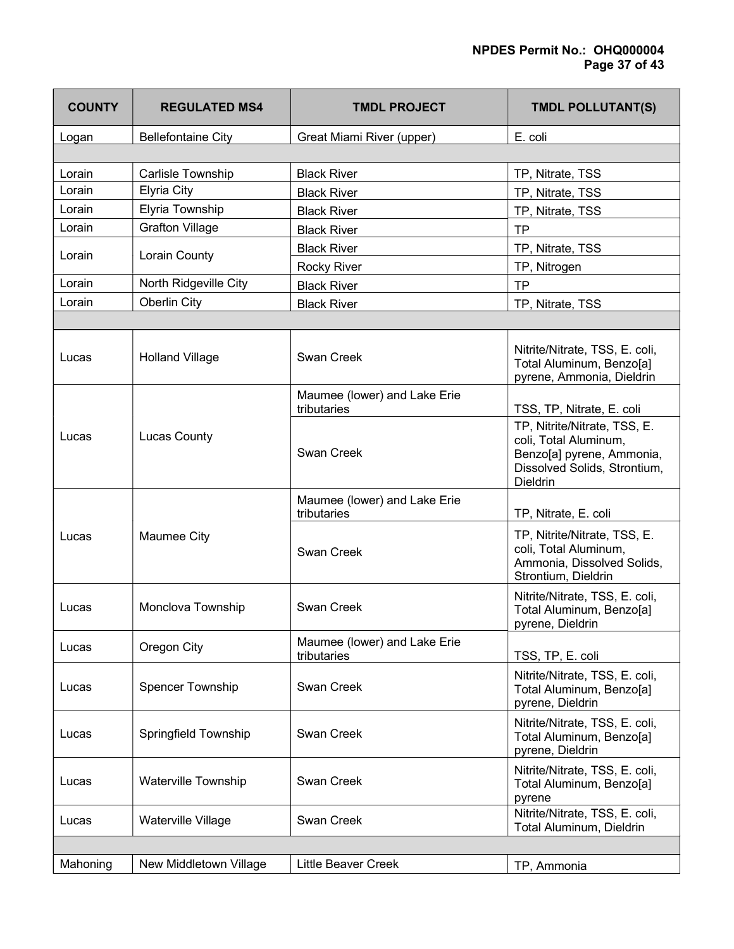| <b>COUNTY</b> | <b>REGULATED MS4</b>       | <b>TMDL PROJECT</b>                         | TMDL POLLUTANT(S)                                                                                                                     |
|---------------|----------------------------|---------------------------------------------|---------------------------------------------------------------------------------------------------------------------------------------|
| Logan         | <b>Bellefontaine City</b>  | Great Miami River (upper)                   | E. coli                                                                                                                               |
|               |                            |                                             |                                                                                                                                       |
| Lorain        | <b>Carlisle Township</b>   | <b>Black River</b>                          | TP, Nitrate, TSS                                                                                                                      |
| Lorain        | <b>Elyria City</b>         | <b>Black River</b>                          | TP, Nitrate, TSS                                                                                                                      |
| Lorain        | Elyria Township            | <b>Black River</b>                          | TP, Nitrate, TSS                                                                                                                      |
| Lorain        | <b>Grafton Village</b>     | <b>Black River</b>                          | <b>TP</b>                                                                                                                             |
| Lorain        |                            | <b>Black River</b>                          | TP, Nitrate, TSS                                                                                                                      |
|               | Lorain County              | <b>Rocky River</b>                          | TP, Nitrogen                                                                                                                          |
| Lorain        | North Ridgeville City      | <b>Black River</b>                          | <b>TP</b>                                                                                                                             |
| Lorain        | Oberlin City               | <b>Black River</b>                          | TP, Nitrate, TSS                                                                                                                      |
|               |                            |                                             |                                                                                                                                       |
| Lucas         | <b>Holland Village</b>     | Swan Creek                                  | Nitrite/Nitrate, TSS, E. coli,<br>Total Aluminum, Benzo[a]<br>pyrene, Ammonia, Dieldrin                                               |
|               |                            | Maumee (lower) and Lake Erie<br>tributaries | TSS, TP, Nitrate, E. coli                                                                                                             |
| Lucas         | <b>Lucas County</b>        | Swan Creek                                  | TP, Nitrite/Nitrate, TSS, E.<br>coli, Total Aluminum,<br>Benzo[a] pyrene, Ammonia,<br>Dissolved Solids, Strontium,<br><b>Dieldrin</b> |
|               |                            | Maumee (lower) and Lake Erie<br>tributaries | TP, Nitrate, E. coli                                                                                                                  |
| Lucas         | Maumee City                | Swan Creek                                  | TP, Nitrite/Nitrate, TSS, E.<br>coli, Total Aluminum,<br>Ammonia, Dissolved Solids,<br>Strontium, Dieldrin                            |
| Lucas         | Monclova Township          | <b>Swan Creek</b>                           | Nitrite/Nitrate, TSS, E. coli,<br>Total Aluminum, Benzo[a]<br>pyrene, Dieldrin                                                        |
| Lucas         | Oregon City                | Maumee (lower) and Lake Erie<br>tributaries | TSS, TP, E. coli                                                                                                                      |
| Lucas         | <b>Spencer Township</b>    | Swan Creek                                  | Nitrite/Nitrate, TSS, E. coli,<br>Total Aluminum, Benzo[a]<br>pyrene, Dieldrin                                                        |
| Lucas         | Springfield Township       | Swan Creek                                  | Nitrite/Nitrate, TSS, E. coli,<br>Total Aluminum, Benzo[a]<br>pyrene, Dieldrin                                                        |
| Lucas         | <b>Waterville Township</b> | Swan Creek                                  | Nitrite/Nitrate, TSS, E. coli,<br>Total Aluminum, Benzo[a]<br>pyrene                                                                  |
| Lucas         | Waterville Village         | Swan Creek                                  | Nitrite/Nitrate, TSS, E. coli,<br>Total Aluminum, Dieldrin                                                                            |
|               |                            |                                             |                                                                                                                                       |
| Mahoning      | New Middletown Village     | <b>Little Beaver Creek</b>                  | TP, Ammonia                                                                                                                           |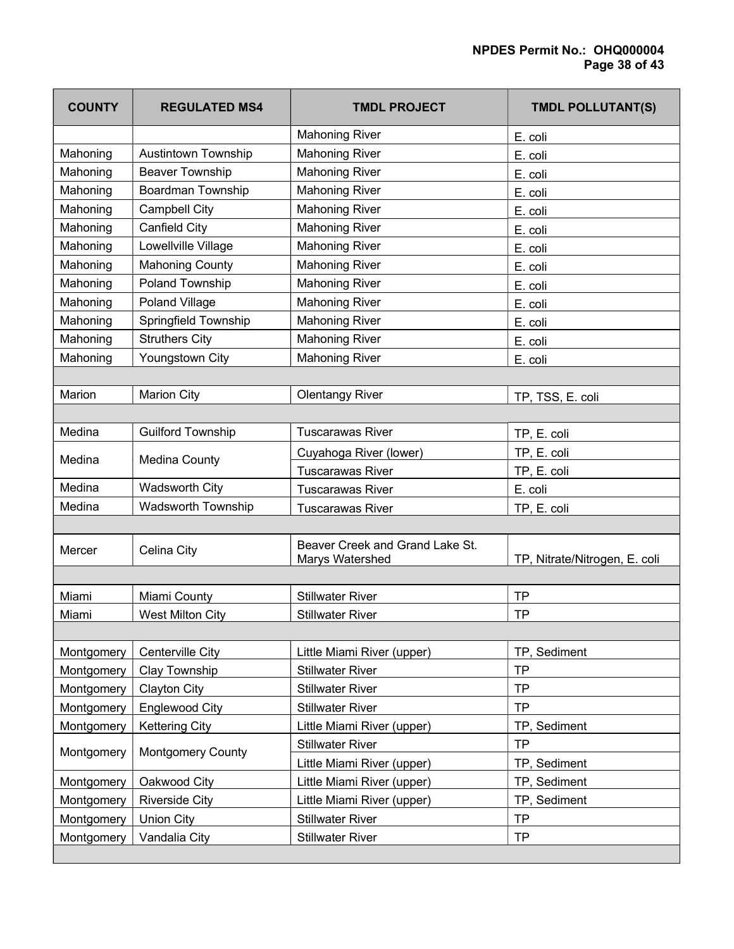# NPDES Permit No.: OHQ000004 Page 38 of 43

| <b>COUNTY</b> | <b>REGULATED MS4</b>       | <b>TMDL PROJECT</b>                                | <b>TMDL POLLUTANT(S)</b>      |
|---------------|----------------------------|----------------------------------------------------|-------------------------------|
|               |                            | <b>Mahoning River</b>                              | E. coli                       |
| Mahoning      | <b>Austintown Township</b> | <b>Mahoning River</b>                              | E. coli                       |
| Mahoning      | <b>Beaver Township</b>     | <b>Mahoning River</b>                              | E. coli                       |
| Mahoning      | Boardman Township          | <b>Mahoning River</b>                              | E. coli                       |
| Mahoning      | <b>Campbell City</b>       | <b>Mahoning River</b>                              | E. coli                       |
| Mahoning      | Canfield City              | <b>Mahoning River</b>                              | E. coli                       |
| Mahoning      | Lowellville Village        | <b>Mahoning River</b>                              | E. coli                       |
| Mahoning      | <b>Mahoning County</b>     | <b>Mahoning River</b>                              | E. coli                       |
| Mahoning      | Poland Township            | <b>Mahoning River</b>                              | E. coli                       |
| Mahoning      | Poland Village             | <b>Mahoning River</b>                              | E. coli                       |
| Mahoning      | Springfield Township       | <b>Mahoning River</b>                              | E. coli                       |
| Mahoning      | <b>Struthers City</b>      | <b>Mahoning River</b>                              | E. coli                       |
| Mahoning      | Youngstown City            | <b>Mahoning River</b>                              | E. coli                       |
|               |                            |                                                    |                               |
| Marion        | <b>Marion City</b>         | <b>Olentangy River</b>                             | TP, TSS, E. coli              |
|               |                            |                                                    |                               |
| Medina        | <b>Guilford Township</b>   | <b>Tuscarawas River</b>                            | TP, E. coli                   |
| Medina        |                            | Cuyahoga River (lower)                             | TP, E. coli                   |
|               | <b>Medina County</b>       | <b>Tuscarawas River</b>                            | TP, E. coli                   |
| Medina        | <b>Wadsworth City</b>      | <b>Tuscarawas River</b>                            | E. coli                       |
| Medina        | <b>Wadsworth Township</b>  | <b>Tuscarawas River</b>                            | TP, E. coli                   |
|               |                            |                                                    |                               |
| Mercer        | Celina City                | Beaver Creek and Grand Lake St.<br>Marys Watershed | TP, Nitrate/Nitrogen, E. coli |
|               |                            |                                                    |                               |
| Miami         | Miami County               | <b>Stillwater River</b>                            | <b>TP</b>                     |
| Miami         | West Milton City           | <b>Stillwater River</b>                            | <b>TP</b>                     |
|               |                            |                                                    |                               |
| Montgomery    | Centerville City           | Little Miami River (upper)                         | TP, Sediment                  |
| Montgomery    | <b>Clay Township</b>       | <b>Stillwater River</b>                            | <b>TP</b>                     |
| Montgomery    | <b>Clayton City</b>        | <b>Stillwater River</b>                            | <b>TP</b>                     |
| Montgomery    | <b>Englewood City</b>      | <b>Stillwater River</b>                            | <b>TP</b>                     |
| Montgomery    | <b>Kettering City</b>      | Little Miami River (upper)                         | TP, Sediment                  |
| Montgomery    | <b>Montgomery County</b>   | <b>Stillwater River</b>                            | <b>TP</b>                     |
|               |                            | Little Miami River (upper)                         | TP, Sediment                  |
| Montgomery    | Oakwood City               | Little Miami River (upper)                         | TP, Sediment                  |
| Montgomery    | <b>Riverside City</b>      | Little Miami River (upper)                         | TP, Sediment                  |
| Montgomery    | <b>Union City</b>          | <b>Stillwater River</b>                            | <b>TP</b>                     |
| Montgomery    | Vandalia City              | <b>Stillwater River</b>                            | <b>TP</b>                     |
|               |                            |                                                    |                               |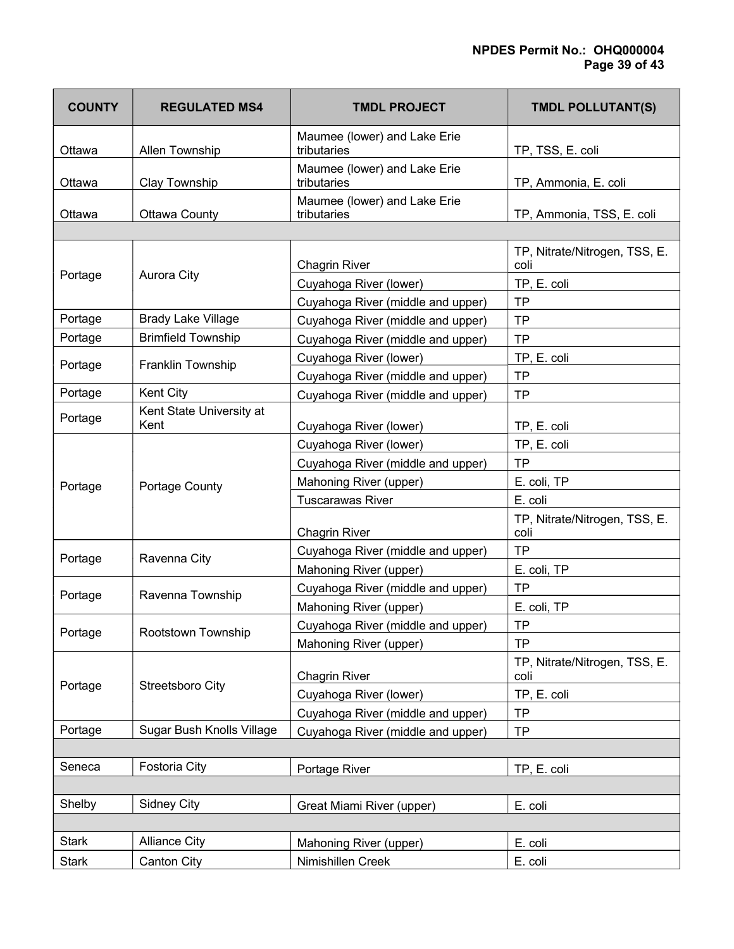# NPDES Permit No.: OHQ000004 Page 39 of 43

| <b>COUNTY</b> | <b>REGULATED MS4</b>      | <b>TMDL PROJECT</b>                         | <b>TMDL POLLUTANT(S)</b>              |
|---------------|---------------------------|---------------------------------------------|---------------------------------------|
| Ottawa        | Allen Township            | Maumee (lower) and Lake Erie<br>tributaries | TP, TSS, E. coli                      |
| Ottawa        | <b>Clay Township</b>      | Maumee (lower) and Lake Erie<br>tributaries | TP, Ammonia, E. coli                  |
| Ottawa        | Ottawa County             | Maumee (lower) and Lake Erie<br>tributaries | TP, Ammonia, TSS, E. coli             |
|               |                           |                                             |                                       |
| Portage       | Aurora City               | <b>Chagrin River</b>                        | TP, Nitrate/Nitrogen, TSS, E.<br>coli |
|               |                           | Cuyahoga River (lower)                      | TP, E. coli                           |
|               |                           | Cuyahoga River (middle and upper)           | <b>TP</b>                             |
| Portage       | <b>Brady Lake Village</b> | Cuyahoga River (middle and upper)           | <b>TP</b>                             |
| Portage       | <b>Brimfield Township</b> | Cuyahoga River (middle and upper)           | <b>TP</b>                             |
| Portage       | Franklin Township         | Cuyahoga River (lower)                      | TP, E. coli                           |
|               |                           | Cuyahoga River (middle and upper)           | <b>TP</b>                             |
| Portage       | Kent City                 | Cuyahoga River (middle and upper)           | <b>TP</b>                             |
| Portage       | Kent State University at  |                                             |                                       |
|               | Kent                      | Cuyahoga River (lower)                      | TP, E. coli                           |
|               |                           | Cuyahoga River (lower)                      | TP, E. coli                           |
|               |                           | Cuyahoga River (middle and upper)           | <b>TP</b>                             |
| Portage       | Portage County            | Mahoning River (upper)                      | E. coli, TP                           |
|               |                           | <b>Tuscarawas River</b>                     | E. coli                               |
|               |                           | <b>Chagrin River</b>                        | TP, Nitrate/Nitrogen, TSS, E.<br>coli |
| Portage       | Ravenna City              | Cuyahoga River (middle and upper)           | <b>TP</b>                             |
|               |                           | Mahoning River (upper)                      | E. coli, TP                           |
|               |                           | Cuyahoga River (middle and upper)           | <b>TP</b>                             |
| Portage       | Ravenna Township          | Mahoning River (upper)                      | E. coli, TP                           |
|               |                           | Cuyahoga River (middle and upper)           | <b>TP</b>                             |
| Portage       | Rootstown Township        | Mahoning River (upper)                      | <b>TP</b>                             |
|               |                           | <b>Chagrin River</b>                        | TP, Nitrate/Nitrogen, TSS, E.<br>coli |
| Portage       | Streetsboro City          | Cuyahoga River (lower)                      | TP, E. coli                           |
|               |                           | Cuyahoga River (middle and upper)           | <b>TP</b>                             |
| Portage       | Sugar Bush Knolls Village | Cuyahoga River (middle and upper)           | <b>TP</b>                             |
|               |                           |                                             |                                       |
| Seneca        | Fostoria City             | Portage River                               | TP, E. coli                           |
|               |                           |                                             |                                       |
| Shelby        | <b>Sidney City</b>        | Great Miami River (upper)                   | E. coli                               |
|               |                           |                                             |                                       |
| <b>Stark</b>  | <b>Alliance City</b>      | Mahoning River (upper)                      | E. coli                               |
| <b>Stark</b>  | <b>Canton City</b>        | Nimishillen Creek                           | E. coli                               |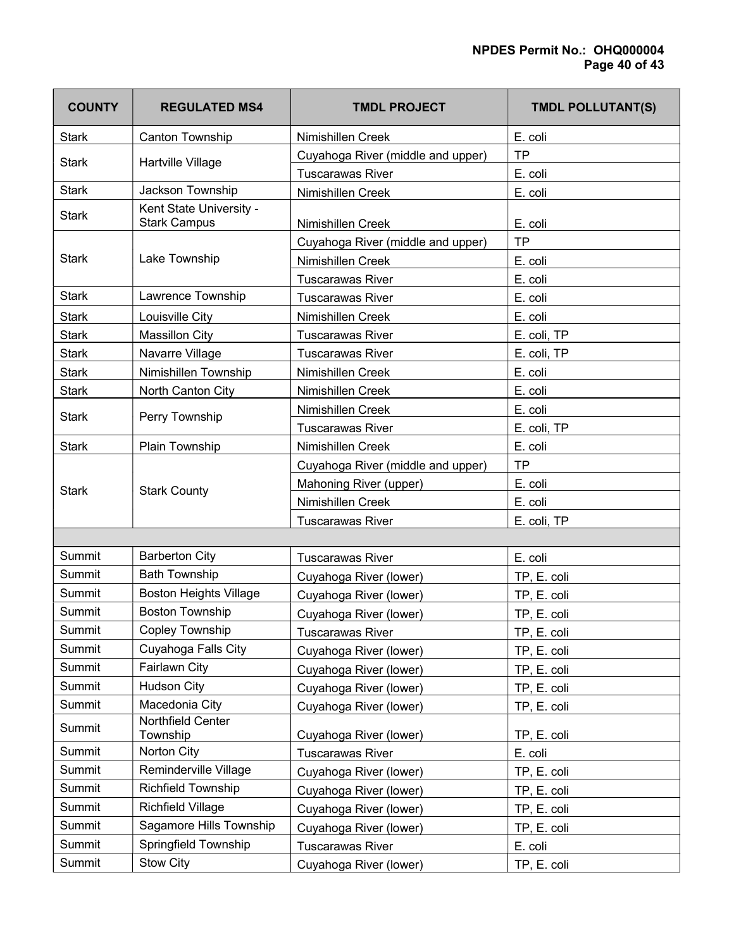| <b>COUNTY</b> | <b>REGULATED MS4</b>                           | <b>TMDL PROJECT</b>               | TMDL POLLUTANT(S) |
|---------------|------------------------------------------------|-----------------------------------|-------------------|
| <b>Stark</b>  | Canton Township                                | Nimishillen Creek                 | E. coli           |
| <b>Stark</b>  | Hartville Village                              | Cuyahoga River (middle and upper) | <b>TP</b>         |
|               |                                                | <b>Tuscarawas River</b>           | E. coli           |
| <b>Stark</b>  | Jackson Township                               | Nimishillen Creek                 | E. coli           |
| <b>Stark</b>  | Kent State University -<br><b>Stark Campus</b> | Nimishillen Creek                 | E. coli           |
|               | Lake Township                                  | Cuyahoga River (middle and upper) | <b>TP</b>         |
| <b>Stark</b>  |                                                | Nimishillen Creek                 | E. coli           |
|               |                                                | <b>Tuscarawas River</b>           | E. coli           |
| <b>Stark</b>  | Lawrence Township                              | <b>Tuscarawas River</b>           | E. coli           |
| <b>Stark</b>  | Louisville City                                | Nimishillen Creek                 | E. coli           |
| <b>Stark</b>  | <b>Massillon City</b>                          | <b>Tuscarawas River</b>           | E. coli, TP       |
| <b>Stark</b>  | Navarre Village                                | <b>Tuscarawas River</b>           | E. coli, TP       |
| <b>Stark</b>  | Nimishillen Township                           | Nimishillen Creek                 | E. coli           |
| <b>Stark</b>  | North Canton City                              | Nimishillen Creek                 | E. coli           |
| <b>Stark</b>  | Perry Township                                 | Nimishillen Creek                 | E. coli           |
|               |                                                | <b>Tuscarawas River</b>           | E. coli, TP       |
| <b>Stark</b>  | Plain Township                                 | Nimishillen Creek                 | E. coli           |
|               |                                                | Cuyahoga River (middle and upper) | <b>TP</b>         |
| <b>Stark</b>  | <b>Stark County</b>                            | Mahoning River (upper)            | E. coli           |
|               |                                                | Nimishillen Creek                 | E. coli           |
|               |                                                | <b>Tuscarawas River</b>           | E. coli, TP       |
|               |                                                |                                   |                   |
| Summit        | <b>Barberton City</b>                          | <b>Tuscarawas River</b>           | E. coli           |
| Summit        | <b>Bath Township</b>                           | Cuyahoga River (lower)            | TP, E. coli       |
| Summit        | <b>Boston Heights Village</b>                  | Cuyahoga River (lower)            | TP, E. coli       |
| <b>Summit</b> | <b>Boston Township</b>                         | Cuyahoga River (lower)            | TP, E. coli       |
| Summit        | Copley Township                                | Гuscarawas River                  | TP, E. coli       |
| Summit        | Cuyahoga Falls City                            | Cuyahoga River (lower)            | TP, E. coli       |
| Summit        | Fairlawn City                                  | Cuyahoga River (lower)            | TP, E. coli       |
| Summit        | <b>Hudson City</b>                             | Cuyahoga River (lower)            | TP, E. coli       |
| Summit        | Macedonia City                                 | Cuyahoga River (lower)            | TP, E. coli       |
| Summit        | Northfield Center<br>Township                  | Cuyahoga River (lower)            | TP, E. coli       |
| Summit        | Norton City                                    | <b>Tuscarawas River</b>           | E. coli           |
| Summit        | Reminderville Village                          | Cuyahoga River (lower)            | TP, E. coli       |
| Summit        | Richfield Township                             | Cuyahoga River (lower)            | TP, E. coli       |
| Summit        | <b>Richfield Village</b>                       | Cuyahoga River (lower)            | TP, E. coli       |
| Summit        | Sagamore Hills Township                        | Cuyahoga River (lower)            | TP, E. coli       |
| Summit        | Springfield Township                           | <b>Tuscarawas River</b>           | E. coli           |
| Summit        | Stow City                                      | Cuyahoga River (lower)            | TP, E. coli       |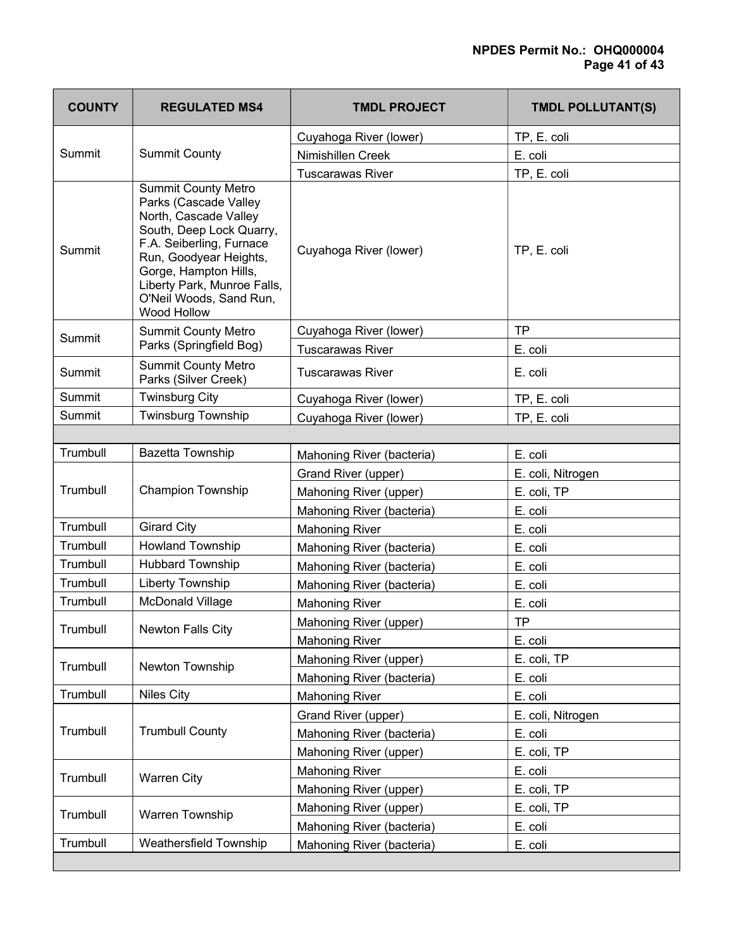| <b>COUNTY</b> | <b>REGULATED MS4</b>                                                                                                                                                                                                                                             | <b>TMDL PROJECT</b>       | <b>TMDL POLLUTANT(S)</b> |
|---------------|------------------------------------------------------------------------------------------------------------------------------------------------------------------------------------------------------------------------------------------------------------------|---------------------------|--------------------------|
| Summit        | <b>Summit County</b>                                                                                                                                                                                                                                             | Cuyahoga River (lower)    | TP, E. coli              |
|               |                                                                                                                                                                                                                                                                  | Nimishillen Creek         | E. coli                  |
|               |                                                                                                                                                                                                                                                                  | <b>Tuscarawas River</b>   | TP, E. coli              |
| Summit        | <b>Summit County Metro</b><br>Parks (Cascade Valley<br>North, Cascade Valley<br>South, Deep Lock Quarry,<br>F.A. Seiberling, Furnace<br>Run, Goodyear Heights,<br>Gorge, Hampton Hills,<br>Liberty Park, Munroe Falls,<br>O'Neil Woods, Sand Run,<br>Wood Hollow | Cuyahoga River (lower)    | TP, E. coli              |
| Summit        | <b>Summit County Metro</b>                                                                                                                                                                                                                                       | Cuyahoga River (lower)    | <b>TP</b>                |
|               | Parks (Springfield Bog)                                                                                                                                                                                                                                          | <b>Tuscarawas River</b>   | E. coli                  |
| Summit        | <b>Summit County Metro</b><br>Parks (Silver Creek)                                                                                                                                                                                                               | <b>Tuscarawas River</b>   | E. coli                  |
| Summit        | <b>Twinsburg City</b>                                                                                                                                                                                                                                            | Cuyahoga River (lower)    | TP, E. coli              |
| Summit        | Twinsburg Township                                                                                                                                                                                                                                               | Cuyahoga River (lower)    | TP, E. coli              |
|               |                                                                                                                                                                                                                                                                  |                           |                          |
| Trumbull      | Bazetta Township                                                                                                                                                                                                                                                 | Mahoning River (bacteria) | E. coli                  |
|               |                                                                                                                                                                                                                                                                  | Grand River (upper)       | E. coli, Nitrogen        |
| Trumbull      | <b>Champion Township</b>                                                                                                                                                                                                                                         | Mahoning River (upper)    | E. coli, TP              |
|               |                                                                                                                                                                                                                                                                  | Mahoning River (bacteria) | E. coli                  |
| Trumbull      | <b>Girard City</b>                                                                                                                                                                                                                                               | <b>Mahoning River</b>     | E. coli                  |
| Trumbull      | <b>Howland Township</b>                                                                                                                                                                                                                                          | Mahoning River (bacteria) | E. coli                  |
| Trumbull      | <b>Hubbard Township</b>                                                                                                                                                                                                                                          | Mahoning River (bacteria) | E. coli                  |
| Trumbull      | Liberty Township                                                                                                                                                                                                                                                 | Mahoning River (bacteria) | E. coli                  |
| Trumbull      | <b>McDonald Village</b>                                                                                                                                                                                                                                          | <b>Mahoning River</b>     | E. coli                  |
| Trumbull      | Newton Falls City                                                                                                                                                                                                                                                | Mahoning River (upper)    | <b>TP</b>                |
|               |                                                                                                                                                                                                                                                                  | <b>Mahoning River</b>     | E. coli                  |
| Trumbull      | Newton Township                                                                                                                                                                                                                                                  | Mahoning River (upper)    | E. coli, TP              |
|               |                                                                                                                                                                                                                                                                  | Mahoning River (bacteria) | E. coli                  |
| Trumbull      | <b>Niles City</b>                                                                                                                                                                                                                                                | <b>Mahoning River</b>     | E. coli                  |
|               | <b>Trumbull County</b>                                                                                                                                                                                                                                           | Grand River (upper)       | E. coli, Nitrogen        |
| Trumbull      |                                                                                                                                                                                                                                                                  | Mahoning River (bacteria) | E. coli                  |
|               |                                                                                                                                                                                                                                                                  | Mahoning River (upper)    | E. coli, TP              |
|               | <b>Warren City</b>                                                                                                                                                                                                                                               | <b>Mahoning River</b>     | E. coli                  |
| Trumbull      |                                                                                                                                                                                                                                                                  | Mahoning River (upper)    | E. coli, TP              |
| Trumbull      | Warren Township                                                                                                                                                                                                                                                  | Mahoning River (upper)    | E. coli, TP              |
|               |                                                                                                                                                                                                                                                                  | Mahoning River (bacteria) | E. coli                  |
| Trumbull      | Weathersfield Township                                                                                                                                                                                                                                           | Mahoning River (bacteria) | E. coli                  |
|               |                                                                                                                                                                                                                                                                  |                           |                          |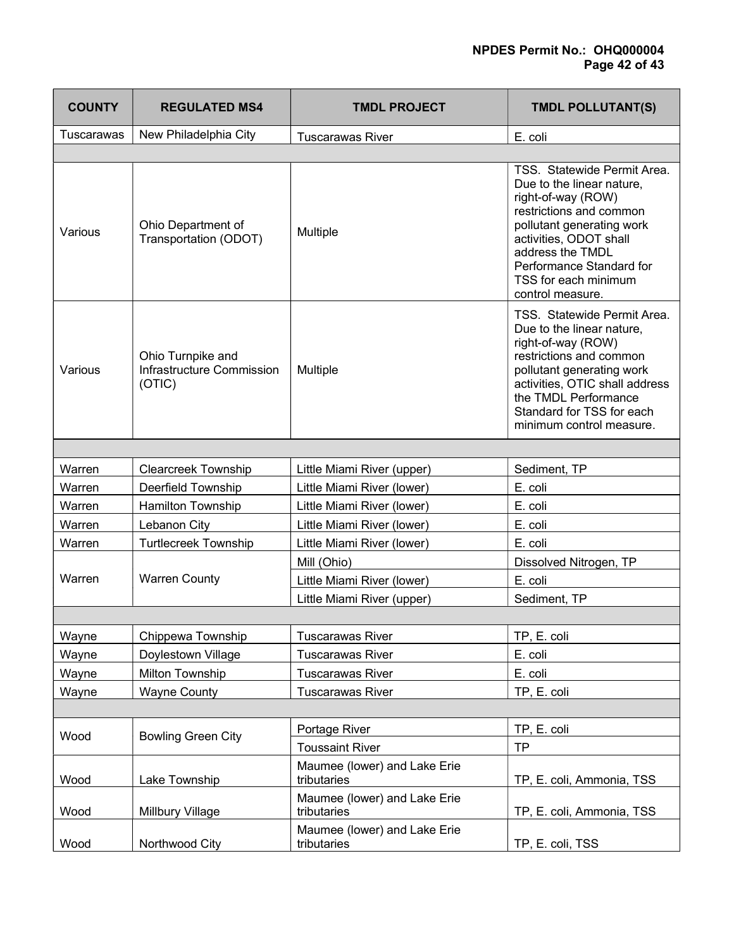# NPDES Permit No.: OHQ000004 Page 42 of 43

| <b>COUNTY</b>     | <b>REGULATED MS4</b>                                     | <b>TMDL PROJECT</b>                         | <b>TMDL POLLUTANT(S)</b>                                                                                                                                                                                                                                     |
|-------------------|----------------------------------------------------------|---------------------------------------------|--------------------------------------------------------------------------------------------------------------------------------------------------------------------------------------------------------------------------------------------------------------|
| <b>Tuscarawas</b> | New Philadelphia City                                    | <b>Tuscarawas River</b>                     | E. coli                                                                                                                                                                                                                                                      |
|                   |                                                          |                                             |                                                                                                                                                                                                                                                              |
| Various           | Ohio Department of<br>Transportation (ODOT)              | Multiple                                    | TSS. Statewide Permit Area.<br>Due to the linear nature,<br>right-of-way (ROW)<br>restrictions and common<br>pollutant generating work<br>activities, ODOT shall<br>address the TMDL<br>Performance Standard for<br>TSS for each minimum<br>control measure. |
| Various           | Ohio Turnpike and<br>Infrastructure Commission<br>(OTIC) | Multiple                                    | TSS. Statewide Permit Area.<br>Due to the linear nature,<br>right-of-way (ROW)<br>restrictions and common<br>pollutant generating work<br>activities, OTIC shall address<br>the TMDL Performance<br>Standard for TSS for each<br>minimum control measure.    |
|                   |                                                          |                                             |                                                                                                                                                                                                                                                              |
| Warren            | <b>Clearcreek Township</b>                               | Little Miami River (upper)                  | Sediment, TP                                                                                                                                                                                                                                                 |
| Warren            | Deerfield Township                                       | Little Miami River (lower)                  | E. coli                                                                                                                                                                                                                                                      |
| Warren            | Hamilton Township                                        | Little Miami River (lower)                  | E. coli                                                                                                                                                                                                                                                      |
| Warren            | Lebanon City                                             | Little Miami River (lower)                  | E. coli                                                                                                                                                                                                                                                      |
| Warren            | <b>Turtlecreek Township</b>                              | Little Miami River (lower)                  | E. coli                                                                                                                                                                                                                                                      |
|                   | <b>Warren County</b>                                     | Mill (Ohio)                                 | Dissolved Nitrogen, TP                                                                                                                                                                                                                                       |
| Warren            |                                                          | Little Miami River (lower)                  | E. coli                                                                                                                                                                                                                                                      |
|                   |                                                          | Little Miami River (upper)                  | Sediment, TP                                                                                                                                                                                                                                                 |
|                   |                                                          |                                             |                                                                                                                                                                                                                                                              |
| Wayne             | Chippewa Township                                        | <b>Tuscarawas River</b>                     | TP, E. coli                                                                                                                                                                                                                                                  |
| Wayne             | Doylestown Village                                       | <b>Tuscarawas River</b>                     | E. coli                                                                                                                                                                                                                                                      |
| Wayne             | <b>Milton Township</b>                                   | <b>Tuscarawas River</b>                     | E. coli                                                                                                                                                                                                                                                      |
| Wayne             | <b>Wayne County</b>                                      | <b>Tuscarawas River</b>                     | TP, E. coli                                                                                                                                                                                                                                                  |
|                   |                                                          |                                             |                                                                                                                                                                                                                                                              |
| Wood              | <b>Bowling Green City</b>                                | Portage River                               | TP, E. coli                                                                                                                                                                                                                                                  |
|                   |                                                          | <b>Toussaint River</b>                      | <b>TP</b>                                                                                                                                                                                                                                                    |
| Wood              | Lake Township                                            | Maumee (lower) and Lake Erie<br>tributaries | TP, E. coli, Ammonia, TSS                                                                                                                                                                                                                                    |
|                   |                                                          | Maumee (lower) and Lake Erie                |                                                                                                                                                                                                                                                              |
| Wood              | Millbury Village                                         | tributaries                                 | TP, E. coli, Ammonia, TSS                                                                                                                                                                                                                                    |
| Wood              | Northwood City                                           | Maumee (lower) and Lake Erie<br>tributaries | TP, E. coli, TSS                                                                                                                                                                                                                                             |